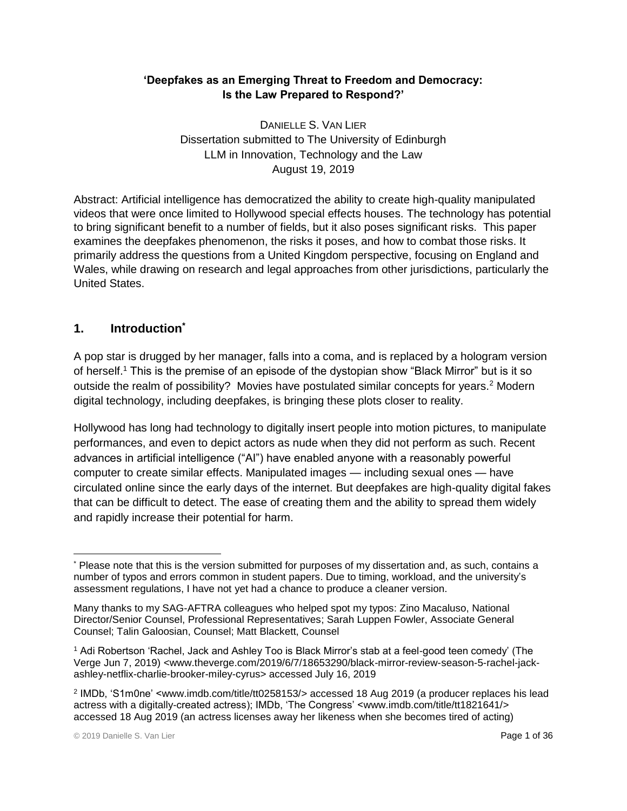## **'Deepfakes as an Emerging Threat to Freedom and Democracy: Is the Law Prepared to Respond?'**

DANIELLE S. VAN LIER Dissertation submitted to The University of Edinburgh LLM in Innovation, Technology and the Law August 19, 2019

Abstract: Artificial intelligence has democratized the ability to create high-quality manipulated videos that were once limited to Hollywood special effects houses. The technology has potential to bring significant benefit to a number of fields, but it also poses significant risks. This paper examines the deepfakes phenomenon, the risks it poses, and how to combat those risks. It primarily address the questions from a United Kingdom perspective, focusing on England and Wales, while drawing on research and legal approaches from other jurisdictions, particularly the United States.

## **1. Introduction\***

A pop star is drugged by her manager, falls into a coma, and is replaced by a hologram version of herself.<sup>1</sup> This is the premise of an episode of the dystopian show "Black Mirror" but is it so outside the realm of possibility? Movies have postulated similar concepts for years.<sup>2</sup> Modern digital technology, including deepfakes, is bringing these plots closer to reality.

Hollywood has long had technology to digitally insert people into motion pictures, to manipulate performances, and even to depict actors as nude when they did not perform as such. Recent advances in artificial intelligence ("AI") have enabled anyone with a reasonably powerful computer to create similar effects. Manipulated images — including sexual ones — have circulated online since the early days of the internet. But deepfakes are high-quality digital fakes that can be difficult to detect. The ease of creating them and the ability to spread them widely and rapidly increase their potential for harm.

 $\overline{a}$ \* Please note that this is the version submitted for purposes of my dissertation and, as such, contains a number of typos and errors common in student papers. Due to timing, workload, and the university's assessment regulations, I have not yet had a chance to produce a cleaner version.

Many thanks to my SAG-AFTRA colleagues who helped spot my typos: Zino Macaluso, National Director/Senior Counsel, Professional Representatives; Sarah Luppen Fowler, Associate General Counsel; Talin Galoosian, Counsel; Matt Blackett, Counsel

<sup>1</sup> Adi Robertson 'Rachel, Jack and Ashley Too is Black Mirror's stab at a feel-good teen comedy' (The Verge Jun 7, 2019) [<www.theverge.com/2019/6/7/18653290/black-mirror-review-season-5-rachel-jack](https://www.theverge.com/2019/6/7/18653290/black-mirror-review-season-5-rachel-jack-ashley-netflix-charlie-brooker-miley-cyrus)[ashley-netflix-charlie-brooker-miley-cyrus>](https://www.theverge.com/2019/6/7/18653290/black-mirror-review-season-5-rachel-jack-ashley-netflix-charlie-brooker-miley-cyrus) accessed July 16, 2019

<sup>2</sup> IMDb, 'S1m0ne' [<www.imdb.com/title/tt0258153/>](http://www.imdb.com/title/tt0258153/) accessed 18 Aug 2019 (a producer replaces his lead actress with a digitally-created actress); IMDb, 'The Congress' [<www.imdb.com/title/tt1821641/>](http://www.imdb.com/title/tt1821641/) accessed 18 Aug 2019 (an actress licenses away her likeness when she becomes tired of acting)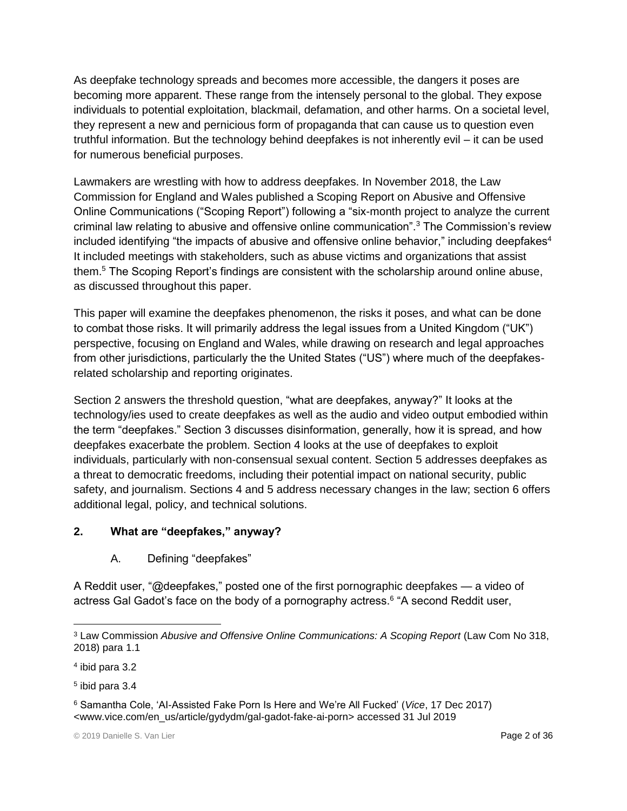As deepfake technology spreads and becomes more accessible, the dangers it poses are becoming more apparent. These range from the intensely personal to the global. They expose individuals to potential exploitation, blackmail, defamation, and other harms. On a societal level, they represent a new and pernicious form of propaganda that can cause us to question even truthful information. But the technology behind deepfakes is not inherently evil – it can be used for numerous beneficial purposes.

Lawmakers are wrestling with how to address deepfakes. In November 2018, the Law Commission for England and Wales published a Scoping Report on Abusive and Offensive Online Communications ("Scoping Report") following a "six-month project to analyze the current criminal law relating to abusive and offensive online communication".<sup>3</sup> The Commission's review included identifying "the impacts of abusive and offensive online behavior," including deepfakes<sup>4</sup> It included meetings with stakeholders, such as abuse victims and organizations that assist them.<sup>5</sup> The Scoping Report's findings are consistent with the scholarship around online abuse, as discussed throughout this paper.

This paper will examine the deepfakes phenomenon, the risks it poses, and what can be done to combat those risks. It will primarily address the legal issues from a United Kingdom ("UK") perspective, focusing on England and Wales, while drawing on research and legal approaches from other jurisdictions, particularly the the United States ("US") where much of the deepfakesrelated scholarship and reporting originates.

Section 2 answers the threshold question, "what are deepfakes, anyway?" It looks at the technology/ies used to create deepfakes as well as the audio and video output embodied within the term "deepfakes." Section 3 discusses disinformation, generally, how it is spread, and how deepfakes exacerbate the problem. Section 4 looks at the use of deepfakes to exploit individuals, particularly with non-consensual sexual content. Section 5 addresses deepfakes as a threat to democratic freedoms, including their potential impact on national security, public safety, and journalism. Sections 4 and 5 address necessary changes in the law; section 6 offers additional legal, policy, and technical solutions.

## **2. What are "deepfakes," anyway?**

A. Defining "deepfakes"

A Reddit user, "@deepfakes," posted one of the first pornographic deepfakes — a video of actress Gal Gadot's face on the body of a pornography actress.<sup>6</sup> "A second Reddit user,

 $\overline{a}$ 

<sup>&</sup>lt;sup>3</sup> Law Commission Abusive and Offensive Online Communications: A Scoping Report (Law Com No 318, 2018) para 1.1

<sup>4</sup> ibid para 3.2

<sup>5</sup> ibid para 3.4

<sup>6</sup> Samantha Cole, 'AI-Assisted Fake Porn Is Here and We're All Fucked' (*Vice*, 17 Dec 2017) [<www.vice.com/en\\_us/article/gydydm/gal-gadot-fake-ai-porn>](http://www.vice.com/en_us/article/gydydm/gal-gadot-fake-ai-porn) accessed 31 Jul 2019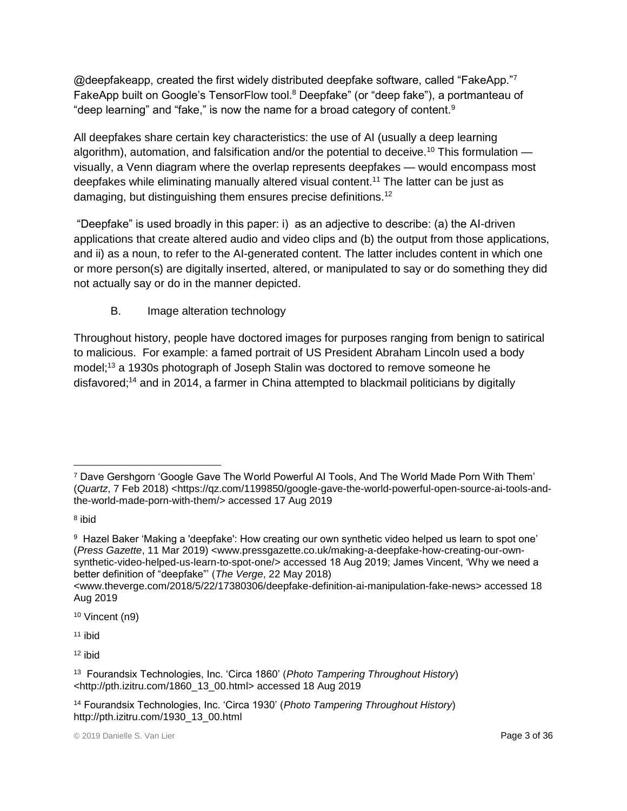@deepfakeapp, created the first widely distributed deepfake software, called "FakeApp."7 FakeApp built on Google's TensorFlow tool.<sup>8</sup> Deepfake" (or "deep fake"), a portmanteau of "deep learning" and "fake," is now the name for a broad category of content. $9$ 

All deepfakes share certain key characteristics: the use of AI (usually a deep learning algorithm), automation, and falsification and/or the potential to deceive.<sup>10</sup> This formulation  $$ visually, a Venn diagram where the overlap represents deepfakes — would encompass most deepfakes while eliminating manually altered visual content.<sup>11</sup> The latter can be just as damaging, but distinguishing them ensures precise definitions.<sup>12</sup>

"Deepfake" is used broadly in this paper: i) as an adjective to describe: (a) the AI-driven applications that create altered audio and video clips and (b) the output from those applications, and ii) as a noun, to refer to the AI-generated content. The latter includes content in which one or more person(s) are digitally inserted, altered, or manipulated to say or do something they did not actually say or do in the manner depicted.

# B. Image alteration technology

Throughout history, people have doctored images for purposes ranging from benign to satirical to malicious. For example: a famed portrait of US President Abraham Lincoln used a body model;<sup>13</sup> a 1930s photograph of Joseph Stalin was doctored to remove someone he disfavored;<sup>14</sup> and in 2014, a farmer in China attempted to blackmail politicians by digitally

<sup>10</sup> Vincent (n9)

<sup>11</sup> ibid

 $\overline{a}$ <sup>7</sup> Dave Gershgorn 'Google Gave The World Powerful AI Tools, And The World Made Porn With Them' (*Quartz*, 7 Feb 2018) [<https://qz.com/1199850/google-gave-the-world-powerful-open-source-ai-tools-and](https://qz.com/1199850/google-gave-the-world-powerful-open-source-ai-tools-and-the-world-made-porn-with-them/)[the-world-made-porn-with-them/>](https://qz.com/1199850/google-gave-the-world-powerful-open-source-ai-tools-and-the-world-made-porn-with-them/) accessed 17 Aug 2019

<sup>&</sup>lt;sup>8</sup> ibid

 $^{\rm 9}$  Hazel Baker 'Making a 'deepfake': How creating our own synthetic video helped us learn to spot one' (*Press Gazette*, 11 Mar 2019) [<www.pressgazette.co.uk/making-a-deepfake-how-creating-our-own](http://www.pressgazette.co.uk/making-a-deepfake-how-creating-our-own-synthetic-video-helped-us-learn-to-spot-one/)[synthetic-video-helped-us-learn-to-spot-one/>](http://www.pressgazette.co.uk/making-a-deepfake-how-creating-our-own-synthetic-video-helped-us-learn-to-spot-one/) accessed 18 Aug 2019; James Vincent, 'Why we need a better definition of "deepfake"' (*The Verge*, 22 May 2018)

[<sup>&</sup>lt;www.theverge.com/2018/5/22/17380306/deepfake-definition-ai-manipulation-fake-news>](http://www.theverge.com/2018/5/22/17380306/deepfake-definition-ai-manipulation-fake-news) accessed 18 Aug 2019

<sup>13</sup> Fourandsix Technologies, Inc. 'Circa 1860' (*Photo Tampering Throughout History*) [<http://pth.izitru.com/1860\\_13\\_00.html>](http://pth.izitru.com/1860_13_00.html) accessed 18 Aug 2019

<sup>14</sup> Fourandsix Technologies, Inc. 'Circa 1930' (*Photo Tampering Throughout History*) [http://pth.izitru.com/1930\\_13\\_00.html](http://pth.izitru.com/1930_13_00.html)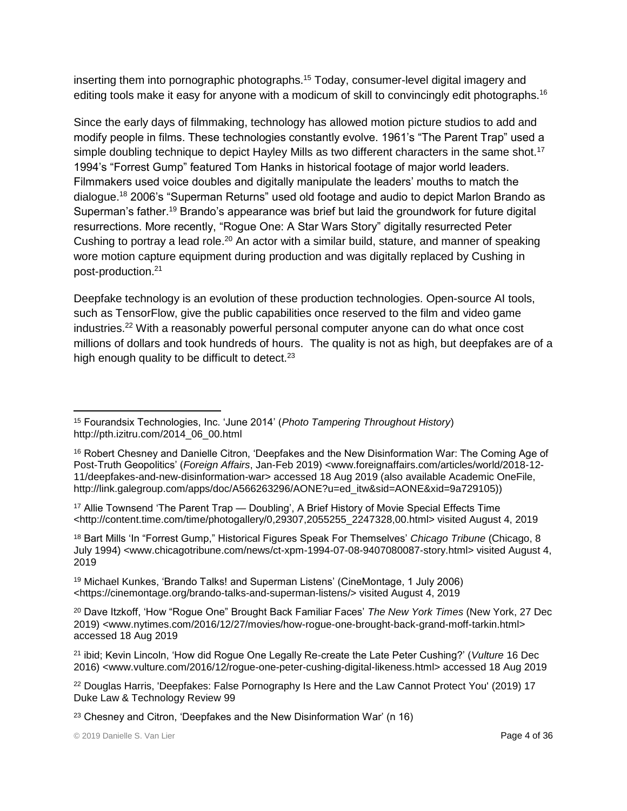inserting them into pornographic photographs.<sup>15</sup> Today, consumer-level digital imagery and editing tools make it easy for anyone with a modicum of skill to convincingly edit photographs.<sup>16</sup>

Since the early days of filmmaking, technology has allowed motion picture studios to add and modify people in films. These technologies constantly evolve. 1961's "The Parent Trap" used a simple doubling technique to depict Hayley Mills as two different characters in the same shot.<sup>17</sup> 1994's "Forrest Gump" featured Tom Hanks in historical footage of major world leaders. Filmmakers used voice doubles and digitally manipulate the leaders' mouths to match the dialogue.<sup>18</sup> 2006's "Superman Returns" used old footage and audio to depict Marlon Brando as Superman's father.<sup>19</sup> Brando's appearance was brief but laid the groundwork for future digital resurrections. More recently, "Rogue One: A Star Wars Story" digitally resurrected Peter Cushing to portray a lead role.<sup>20</sup> An actor with a similar build, stature, and manner of speaking wore motion capture equipment during production and was digitally replaced by Cushing in post-production.<sup>21</sup>

Deepfake technology is an evolution of these production technologies. Open-source AI tools, such as TensorFlow, give the public capabilities once reserved to the film and video game industries.<sup>22</sup> With a reasonably powerful personal computer anyone can do what once cost millions of dollars and took hundreds of hours. The quality is not as high, but deepfakes are of a high enough quality to be difficult to detect. $23$ 

<sup>18</sup> Bart Mills 'In "Forrest Gump," Historical Figures Speak For Themselves' *Chicago Tribune* (Chicago, 8 July 1994) <www.chicagotribune.com/news/ct-xpm-1994-07-08-9407080087-story.html> visited August 4, 2019

<sup>19</sup> Michael Kunkes, 'Brando Talks! and Superman Listens' (CineMontage, 1 July 2006) <https://cinemontage.org/brando-talks-and-superman-listens/> visited August 4, 2019

 $\overline{a}$ <sup>15</sup> Fourandsix Technologies, Inc. 'June 2014' (*Photo Tampering Throughout History*) [http://pth.izitru.com/2014\\_06\\_00.html](http://pth.izitru.com/2014_06_00.html)

<sup>&</sup>lt;sup>16</sup> Robert Chesney and Danielle Citron, 'Deepfakes and the New Disinformation War: The Coming Age of Post-Truth Geopolitics' (*Foreign Affairs*, Jan-Feb 2019) [<www.foreignaffairs.com/articles/world/2018-12-](http://www.foreignaffairs.com/articles/world/2018-12-11/deepfakes-and-new-disinformation-war) [11/deepfakes-and-new-disinformation-war>](http://www.foreignaffairs.com/articles/world/2018-12-11/deepfakes-and-new-disinformation-war) accessed 18 Aug 2019 (also available Academic OneFile, http://link.galegroup.com/apps/doc/A566263296/AONE?u=ed\_itw&sid=AONE&xid=9a729105))

<sup>&</sup>lt;sup>17</sup> Allie Townsend 'The Parent Trap — Doubling', A Brief History of Movie Special Effects Time <http://content.time.com/time/photogallery/0,29307,2055255\_2247328,00.html> visited August 4, 2019

<sup>20</sup> Dave Itzkoff, 'How "Rogue One" Brought Back Familiar Faces' *The New York Times* (New York, 27 Dec 2019) <www.nytimes.com/2016/12/27/movies/how-rogue-one-brought-back-grand-moff-tarkin.html> accessed 18 Aug 2019

<sup>21</sup> ibid; Kevin Lincoln, 'How did Rogue One Legally Re-create the Late Peter Cushing?' (*Vulture* 16 Dec 2016) <www.vulture.com/2016/12/rogue-one-peter-cushing-digital-likeness.html> accessed 18 Aug 2019

<sup>22</sup> Douglas Harris, 'Deepfakes: False Pornography Is Here and the Law Cannot Protect You' (2019) 17 Duke Law & Technology Review 99

<sup>23</sup> Chesney and Citron, 'Deepfakes and the New Disinformation War' (n 16)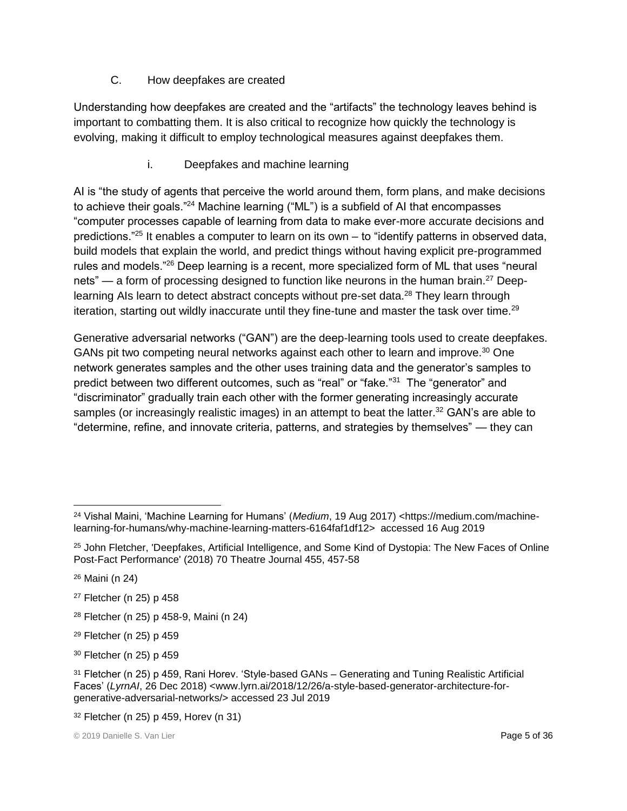#### C. How deepfakes are created

Understanding how deepfakes are created and the "artifacts" the technology leaves behind is important to combatting them. It is also critical to recognize how quickly the technology is evolving, making it difficult to employ technological measures against deepfakes them.

#### i. Deepfakes and machine learning

AI is "the study of agents that perceive the world around them, form plans, and make decisions to achieve their goals."<sup>24</sup> Machine learning ("ML") is a subfield of AI that encompasses "computer processes capable of learning from data to make ever-more accurate decisions and predictions."<sup>25</sup> It enables a computer to learn on its own – to "identify patterns in observed data, build models that explain the world, and predict things without having explicit pre-programmed rules and models."<sup>26</sup> Deep learning is a recent, more specialized form of ML that uses "neural nets" — a form of processing designed to function like neurons in the human brain.<sup>27</sup> Deeplearning AIs learn to detect abstract concepts without pre-set data.<sup>28</sup> They learn through iteration, starting out wildly inaccurate until they fine-tune and master the task over time.<sup>29</sup>

Generative adversarial networks ("GAN") are the deep-learning tools used to create deepfakes. GANs pit two competing neural networks against each other to learn and improve.<sup>30</sup> One network generates samples and the other uses training data and the generator's samples to predict between two different outcomes, such as "real" or "fake."<sup>31</sup> The "generator" and "discriminator" gradually train each other with the former generating increasingly accurate samples (or increasingly realistic images) in an attempt to beat the latter.<sup>32</sup> GAN's are able to "determine, refine, and innovate criteria, patterns, and strategies by themselves" — they can

- <sup>27</sup> Fletcher (n 25) p 458
- <sup>28</sup> Fletcher (n 25) p 458-9, Maini (n 24)
- <sup>29</sup> Fletcher (n 25) p 459
- <sup>30</sup> Fletcher (n 25) p 459

 $\overline{a}$ <sup>24</sup> Vishal Maini, 'Machine Learning for Humans' (*Medium*, 19 Aug 2017) [<https://medium.com/machine](https://medium.com/machine-learning-for-humans/why-machine-learning-matters-6164faf1df12)[learning-for-humans/why-machine-learning-matters-6164faf1df12>](https://medium.com/machine-learning-for-humans/why-machine-learning-matters-6164faf1df12) accessed 16 Aug 2019

<sup>&</sup>lt;sup>25</sup> John Fletcher, 'Deepfakes, Artificial Intelligence, and Some Kind of Dystopia: The New Faces of Online Post-Fact Performance' (2018) 70 Theatre Journal 455, 457-58

<sup>26</sup> Maini (n 24)

<sup>31</sup> Fletcher (n 25) p 459, Rani Horev. 'Style-based GANs – Generating and Tuning Realistic Artificial Faces' (*LyrnAI*, 26 Dec 2018) [<www.lyrn.ai/2018/12/26/a-style-based-generator-architecture-for](https://www.lyrn.ai/2018/12/26/a-style-based-generator-architecture-for-generative-adversarial-networks/)[generative-adversarial-networks/>](https://www.lyrn.ai/2018/12/26/a-style-based-generator-architecture-for-generative-adversarial-networks/) accessed 23 Jul 2019

<sup>32</sup> Fletcher (n 25) p 459, Horev (n 31)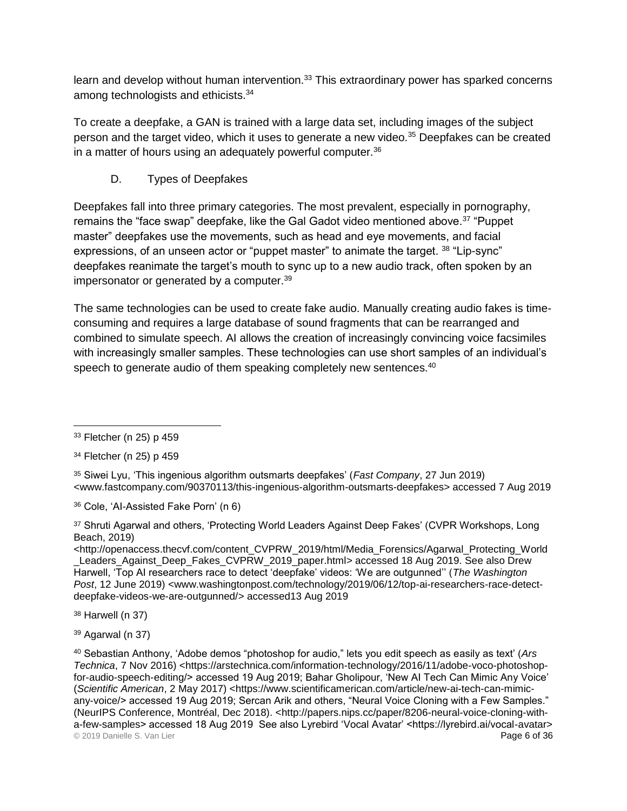learn and develop without human intervention.<sup>33</sup> This extraordinary power has sparked concerns among technologists and ethicists.<sup>34</sup>

To create a deepfake, a GAN is trained with a large data set, including images of the subject person and the target video, which it uses to generate a new video.<sup>35</sup> Deepfakes can be created in a matter of hours using an adequately powerful computer.<sup>36</sup>

D. Types of Deepfakes

Deepfakes fall into three primary categories. The most prevalent, especially in pornography, remains the "face swap" deepfake, like the Gal Gadot video mentioned above.<sup>37</sup> "Puppet master" deepfakes use the movements, such as head and eye movements, and facial expressions, of an unseen actor or "puppet master" to animate the target. <sup>38</sup> "Lip-sync" deepfakes reanimate the target's mouth to sync up to a new audio track, often spoken by an impersonator or generated by a computer.<sup>39</sup>

The same technologies can be used to create fake audio. Manually creating audio fakes is timeconsuming and requires a large database of sound fragments that can be rearranged and combined to simulate speech. AI allows the creation of increasingly convincing voice facsimiles with increasingly smaller samples. These technologies can use short samples of an individual's speech to generate audio of them speaking completely new sentences.<sup>40</sup>

<sup>38</sup> Harwell (n 37)

<sup>39</sup> Agarwal (n 37)

 $\overline{a}$ <sup>33</sup> Fletcher (n 25) p 459

<sup>34</sup> Fletcher (n 25) p 459

<sup>35</sup> Siwei Lyu, 'This ingenious algorithm outsmarts deepfakes' (*Fast Company*, 27 Jun 2019) [<www.fastcompany.com/90370113/this-ingenious-algorithm-outsmarts-deepfakes>](https://www.fastcompany.com/90370113/this-ingenious-algorithm-outsmarts-deepfakes) accessed 7 Aug 2019

<sup>36</sup> Cole, 'AI-Assisted Fake Porn' (n 6)

<sup>37</sup> Shruti Agarwal and others, 'Protecting World Leaders Against Deep Fakes' (CVPR Workshops, Long Beach, 2019)

[<sup>&</sup>lt;http://openaccess.thecvf.com/content\\_CVPRW\\_2019/html/Media\\_Forensics/Agarwal\\_Protecting\\_World](http://openaccess.thecvf.com/content_CVPRW_2019/html/Media_Forensics/Agarwal_Protecting_World_Leaders_Against_Deep_Fakes_CVPRW_2019_paper.html) Leaders\_Against\_Deep\_Fakes\_CVPRW\_2019\_paper.html> accessed 18 Aug 2019. See also Drew Harwell, 'Top AI researchers race to detect 'deepfake' videos: 'We are outgunned'' (*The Washington Post*, 12 June 2019) [<www.washingtonpost.com/technology/2019/06/12/top-ai-researchers-race-detect](http://www.washingtonpost.com/technology/2019/06/12/top-ai-researchers-race-detect-deepfake-videos-we-are-outgunned/)[deepfake-videos-we-are-outgunned/>](http://www.washingtonpost.com/technology/2019/06/12/top-ai-researchers-race-detect-deepfake-videos-we-are-outgunned/) accessed13 Aug 2019

<sup>© 2019</sup> Danielle S. Van Lier Page 6 of 36 <sup>40</sup> Sebastian Anthony, 'Adobe demos "photoshop for audio," lets you edit speech as easily as text' (*Ars*  Technica, 7 Nov 2016) [<https://arstechnica.com/information-technology/2016/11/adobe-voco-photoshop](https://arstechnica.com/information-technology/2016/11/adobe-voco-photoshop-for-audio-speech-editing/)[for-audio-speech-editing/>](https://arstechnica.com/information-technology/2016/11/adobe-voco-photoshop-for-audio-speech-editing/) accessed 19 Aug 2019; Bahar Gholipour, 'New AI Tech Can Mimic Any Voice' (*Scientific American*, 2 May 2017) [<https://www.scientificamerican.com/article/new-ai-tech-can-mimic](https://www.scientificamerican.com/article/new-ai-tech-can-mimic-any-voice/)[any-voice/>](https://www.scientificamerican.com/article/new-ai-tech-can-mimic-any-voice/) accessed 19 Aug 2019; Sercan Arik and others, "Neural Voice Cloning with a Few Samples." (NeurIPS Conference, Montréal, Dec 2018). [<http://papers.nips.cc/paper/8206-neural-voice-cloning-with](http://papers.nips.cc/paper/8206-neural-voice-cloning-with-a-few-samples)[a-few-samples>](http://papers.nips.cc/paper/8206-neural-voice-cloning-with-a-few-samples) accessed 18 Aug 2019 See also Lyrebird 'Vocal Avatar' <https://lyrebird.ai/vocal-avatar>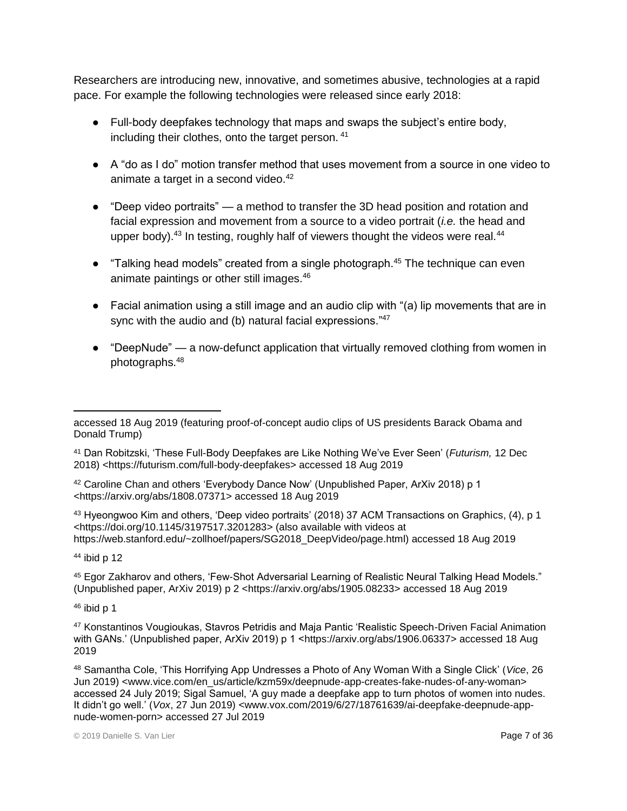Researchers are introducing new, innovative, and sometimes abusive, technologies at a rapid pace. For example the following technologies were released since early 2018:

- Full-body deepfakes technology that maps and swaps the subject's entire body, including their clothes, onto the target person. 41
- A "do as I do" motion transfer method that uses movement from a source in one video to animate a target in a second video.<sup>42</sup>
- "Deep video portraits" a method to transfer the 3D head position and rotation and facial expression and movement from a source to a video portrait (*i.e.* the head and upper body). $43$  In testing, roughly half of viewers thought the videos were real. $44$
- "Talking head models" created from a single photograph.<sup>45</sup> The technique can even animate paintings or other still images.<sup>46</sup>
- $\bullet$  Facial animation using a still image and an audio clip with "(a) lip movements that are in sync with the audio and (b) natural facial expressions."<sup>47</sup>
- "DeepNude" a now-defunct application that virtually removed clothing from women in photographs.<sup>48</sup>

<sup>43</sup> Hyeongwoo Kim and others, 'Deep video portraits' (2018) 37 ACM Transactions on Graphics, (4), p 1 [<https://doi.org/10.1145/3197517.3201283>](https://doi.org/10.1145/3197517.3201283) (also available with videos at https://web.stanford.edu/~zollhoef/papers/SG2018\_DeepVideo/page.html) accessed 18 Aug 2019

 $44$  ibid p 12

<sup>45</sup> Egor Zakharov and others, 'Few-Shot Adversarial Learning of Realistic Neural Talking Head Models." (Unpublished paper, ArXiv 2019) p 2 [<https://arxiv.org/abs/1905.08233>](https://arxiv.org/abs/1905.08233) accessed 18 Aug 2019

 $46$  ibid p 1

 $\overline{a}$ accessed 18 Aug 2019 (featuring proof-of-concept audio clips of US presidents Barack Obama and Donald Trump)

<sup>41</sup> Dan Robitzski, 'These Full-Body Deepfakes are Like Nothing We've Ever Seen' (*Futurism,* 12 Dec 2018) [<https://futurism.com/full-body-deepfakes>](https://futurism.com/full-body-deepfakes) accessed 18 Aug 2019

<sup>42</sup> Caroline Chan and others 'Everybody Dance Now' (Unpublished Paper, ArXiv 2018) p 1 [<https://arxiv.org/abs/1808.07371>](https://arxiv.org/abs/1808.07371) accessed 18 Aug 2019

<sup>47</sup> Konstantinos Vougioukas, Stavros Petridis and Maja Pantic 'Realistic Speech-Driven Facial Animation with GANs.' (Unpublished paper, ArXiv 2019) p 1 [<https://arxiv.org/abs/1906.06337>](https://arxiv.org/abs/1906.06337) accessed 18 Aug 2019

<sup>48</sup> Samantha Cole, 'This Horrifying App Undresses a Photo of Any Woman With a Single Click' (*Vice*, 26 Jun 2019) <www.vice.com/en\_us/article/kzm59x/deepnude-app-creates-fake-nudes-of-any-woman> accessed 24 July 2019; Sigal Samuel, 'A guy made a deepfake app to turn photos of women into nudes. It didn't go well.' (*Vox*, 27 Jun 2019) <www.vox.com/2019/6/27/18761639/ai-deepfake-deepnude-appnude-women-porn> accessed 27 Jul 2019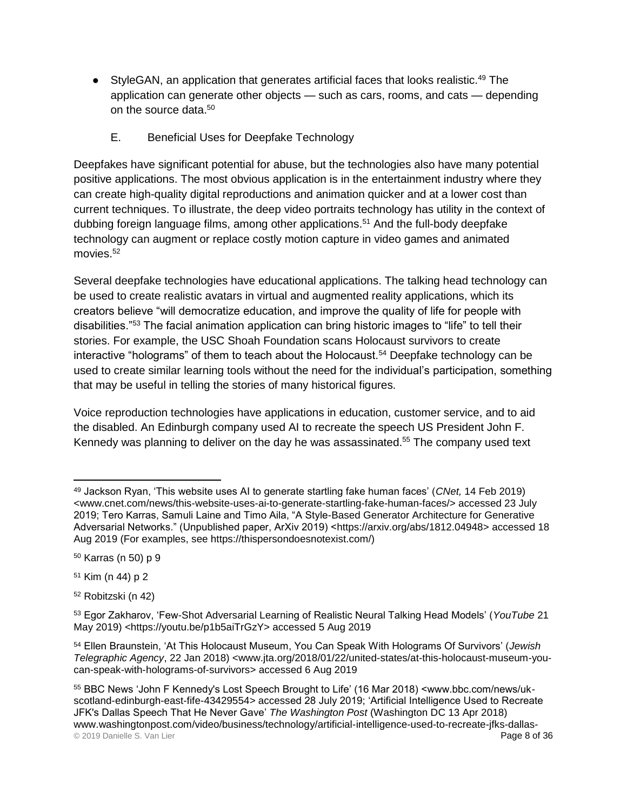- StyleGAN, an application that generates artificial faces that looks realistic.<sup>49</sup> The application can generate other objects — such as cars, rooms, and cats — depending on the source data.<sup>50</sup>
	- E. Beneficial Uses for Deepfake Technology

Deepfakes have significant potential for abuse, but the technologies also have many potential positive applications. The most obvious application is in the entertainment industry where they can create high-quality digital reproductions and animation quicker and at a lower cost than current techniques. To illustrate, the deep video portraits technology has utility in the context of dubbing foreign language films, among other applications.<sup>51</sup> And the full-body deepfake technology can augment or replace costly motion capture in video games and animated movies.<sup>52</sup>

Several deepfake technologies have educational applications. The talking head technology can be used to create realistic avatars in virtual and augmented reality applications, which its creators believe "will democratize education, and improve the quality of life for people with disabilities."<sup>53</sup> The facial animation application can bring historic images to "life" to tell their stories. For example, the USC Shoah Foundation scans Holocaust survivors to create interactive "holograms" of them to teach about the Holocaust.<sup>54</sup> Deepfake technology can be used to create similar learning tools without the need for the individual's participation, something that may be useful in telling the stories of many historical figures.

Voice reproduction technologies have applications in education, customer service, and to aid the disabled. An Edinburgh company used AI to recreate the speech US President John F. Kennedy was planning to deliver on the day he was assassinated.<sup>55</sup> The company used text

 $\overline{a}$ <sup>49</sup> Jackson Ryan, 'This website uses AI to generate startling fake human faces' (*CNet,* 14 Feb 2019) <www.cnet.com/news/this-website-uses-ai-to-generate-startling-fake-human-faces/> accessed 23 July 2019; Tero Karras, Samuli Laine and Timo Aila, "A Style-Based Generator Architecture for Generative Adversarial Networks." (Unpublished paper, ArXiv 2019) [<https://arxiv.org/abs/1812.04948>](https://arxiv.org/abs/1812.04948) accessed 18 Aug 2019 (For examples, see https://thispersondoesnotexist.com/)

<sup>50</sup> Karras (n 50) p 9

<sup>51</sup> Kim (n 44) p 2

<sup>52</sup> Robitzski (n 42)

<sup>53</sup> Egor Zakharov, 'Few-Shot Adversarial Learning of Realistic Neural Talking Head Models' (*YouTube* 21 May 2019) <https://youtu.be/p1b5aiTrGzY> accessed 5 Aug 2019

<sup>54</sup> Ellen Braunstein, 'At This Holocaust Museum, You Can Speak With Holograms Of Survivors' (*Jewish Telegraphic Agency*, 22 Jan 2018) <www.jta.org/2018/01/22/united-states/at-this-holocaust-museum-youcan-speak-with-holograms-of-survivors> accessed 6 Aug 2019

<sup>© 2019</sup> Danielle S. Van Lier Page 8 of 36 <sup>55</sup> BBC News 'John F Kennedy's Lost Speech Brought to Life' (16 Mar 2018) <www.bbc.com/news/ukscotland-edinburgh-east-fife-43429554> accessed 28 July 2019; 'Artificial Intelligence Used to Recreate JFK's Dallas Speech That He Never Gave' *The Washington Post* (Washington DC 13 Apr 2018) www.washingtonpost.com/video/business/technology/artificial-intelligence-used-to-recreate-jfks-dallas-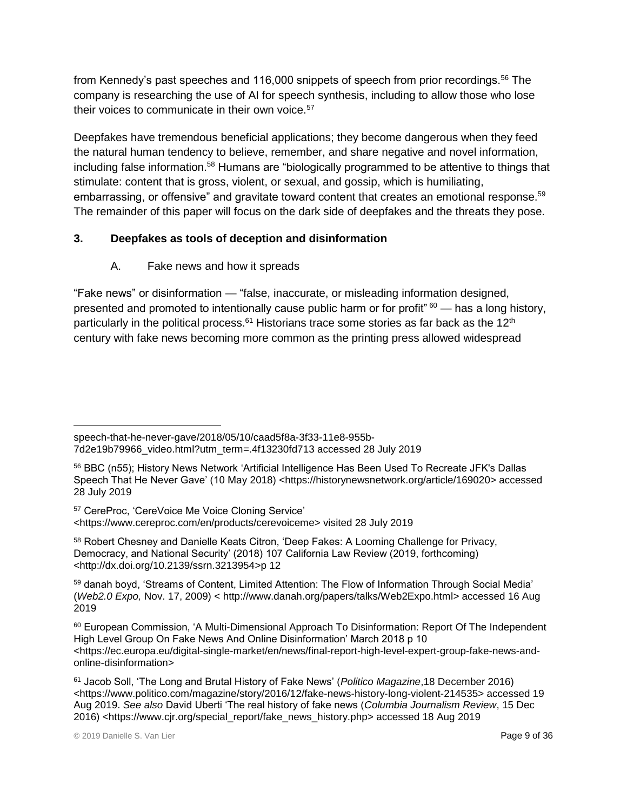from Kennedy's past speeches and 116,000 snippets of speech from prior recordings.<sup>56</sup> The company is researching the use of AI for speech synthesis, including to allow those who lose their voices to communicate in their own voice.<sup>57</sup>

Deepfakes have tremendous beneficial applications; they become dangerous when they feed the natural human tendency to believe, remember, and share negative and novel information, including false information.<sup>58</sup> Humans are "biologically programmed to be attentive to things that stimulate: content that is gross, violent, or sexual, and gossip, which is humiliating, embarrassing, or offensive" and gravitate toward content that creates an emotional response.<sup>59</sup> The remainder of this paper will focus on the dark side of deepfakes and the threats they pose.

## **3. Deepfakes as tools of deception and disinformation**

A. Fake news and how it spreads

"Fake news" or disinformation — "false, inaccurate, or misleading information designed, presented and promoted to intentionally cause public harm or for profit"  $60$  — has a long history, particularly in the political process.<sup>61</sup> Historians trace some stories as far back as the  $12<sup>th</sup>$ century with fake news becoming more common as the printing press allowed widespread

<sup>58</sup> Robert Chesney and Danielle Keats Citron, 'Deep Fakes: A Looming Challenge for Privacy, Democracy, and National Security' (2018) 107 California Law Review (2019, forthcoming) [<http://dx.doi.org/10.2139/ssrn.3213954>](http://dx.doi.org/10.2139/ssrn.3213954)p 12

59 danah boyd, 'Streams of Content, Limited Attention: The Flow of Information Through Social Media' (*Web2.0 Expo,* Nov. 17, 2009) < [http://www.danah.org/papers/talks/Web2Expo.html>](http://www.danah.org/papers/talks/Web2Expo.html) accessed 16 Aug 2019

 $\overline{a}$ speech-that-he-never-gave/2018/05/10/caad5f8a-3f33-11e8-955b-7d2e19b79966\_video.html?utm\_term=.4f13230fd713 accessed 28 July 2019

<sup>56</sup> BBC (n55); History News Network 'Artificial Intelligence Has Been Used To Recreate JFK's Dallas Speech That He Never Gave' (10 May 2018) <https://historynewsnetwork.org/article/169020> accessed 28 July 2019

<sup>57</sup> CereProc, 'CereVoice Me Voice Cloning Service' <https://www.cereproc.com/en/products/cerevoiceme> visited 28 July 2019

<sup>60</sup> European Commission, 'A Multi-Dimensional Approach To Disinformation: Report Of The Independent High Level Group On Fake News And Online Disinformation' March 2018 p 10 <https://ec.europa.eu/digital-single-market/en/news/final-report-high-level-expert-group-fake-news-andonline-disinformation>

<sup>61</sup> Jacob Soll, 'The Long and Brutal History of Fake News' (*Politico Magazine*,18 December 2016) [<https://www.politico.com/magazine/story/2016/12/fake-news-history-long-violent-214535>](https://www.politico.com/magazine/story/2016/12/fake-news-history-long-violent-214535) accessed 19 Aug 2019. *See also* David Uberti 'The real history of fake news (*Columbia Journalism Review*, 15 Dec 2016) [<https://www.cjr.org/special\\_report/fake\\_news\\_history.php>](https://www.cjr.org/special_report/fake_news_history.php) accessed 18 Aug 2019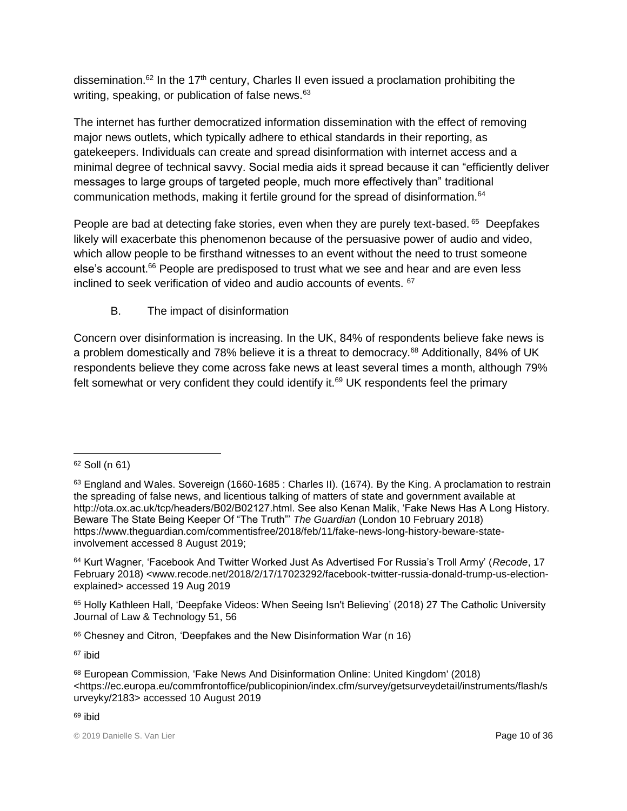dissemination.<sup>62</sup> In the 17<sup>th</sup> century, Charles II even issued a proclamation prohibiting the writing, speaking, or publication of false news. $63$ 

The internet has further democratized information dissemination with the effect of removing major news outlets, which typically adhere to ethical standards in their reporting, as gatekeepers. Individuals can create and spread disinformation with internet access and a minimal degree of technical savvy. Social media aids it spread because it can "efficiently deliver messages to large groups of targeted people, much more effectively than" traditional communication methods, making it fertile ground for the spread of disinformation.<sup>64</sup>

People are bad at detecting fake stories, even when they are purely text-based. <sup>65</sup> Deepfakes likely will exacerbate this phenomenon because of the persuasive power of audio and video, which allow people to be firsthand witnesses to an event without the need to trust someone else's account.<sup>66</sup> People are predisposed to trust what we see and hear and are even less inclined to seek verification of video and audio accounts of events. <sup>67</sup>

# B. The impact of disinformation

Concern over disinformation is increasing. In the UK, 84% of respondents believe fake news is a problem domestically and 78% believe it is a threat to democracy.<sup>68</sup> Additionally, 84% of UK respondents believe they come across fake news at least several times a month, although 79% felt somewhat or very confident they could identify it. $69$  UK respondents feel the primary

<sup>65</sup> Holly Kathleen Hall, 'Deepfake Videos: When Seeing Isn't Believing' (2018) 27 The Catholic University Journal of Law & Technology 51, 56

<sup>66</sup> Chesney and Citron, 'Deepfakes and the New Disinformation War (n 16)

<sup>67</sup> ibid

 $\overline{a}$ <sup>62</sup> Soll (n 61)

<sup>63</sup> England and Wales. Sovereign (1660-1685 : Charles II). (1674). By the King. A proclamation to restrain the spreading of false news, and licentious talking of matters of state and government available at http://ota.ox.ac.uk/tcp/headers/B02/B02127.html. See also Kenan Malik, 'Fake News Has A Long History. Beware The State Being Keeper Of "The Truth"' *The Guardian* (London 10 February 2018) https://www.theguardian.com/commentisfree/2018/feb/11/fake-news-long-history-beware-stateinvolvement accessed 8 August 2019;

<sup>64</sup> Kurt Wagner, 'Facebook And Twitter Worked Just As Advertised For Russia's Troll Army' (*Recode*, 17 February 2018) <www.recode.net/2018/2/17/17023292/facebook-twitter-russia-donald-trump-us-electionexplained> accessed 19 Aug 2019

<sup>68</sup> European Commission, 'Fake News And Disinformation Online: United Kingdom' (2018) <https://ec.europa.eu/commfrontoffice/publicopinion/index.cfm/survey/getsurveydetail/instruments/flash/s urveyky/2183> accessed 10 August 2019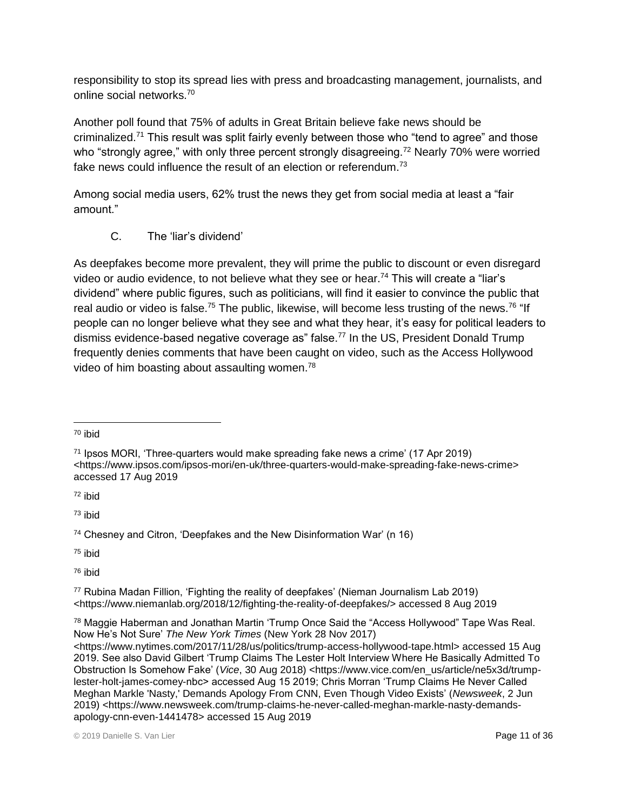responsibility to stop its spread lies with press and broadcasting management, journalists, and online social networks.<sup>70</sup>

Another poll found that 75% of adults in Great Britain believe fake news should be criminalized.<sup>71</sup> This result was split fairly evenly between those who "tend to agree" and those who "strongly agree," with only three percent strongly disagreeing.<sup>72</sup> Nearly 70% were worried fake news could influence the result of an election or referendum.<sup>73</sup>

Among social media users, 62% trust the news they get from social media at least a "fair amount."

C. The 'liar's dividend'

As deepfakes become more prevalent, they will prime the public to discount or even disregard video or audio evidence, to not believe what they see or hear.<sup>74</sup> This will create a "liar's dividend" where public figures, such as politicians, will find it easier to convince the public that real audio or video is false.<sup>75</sup> The public, likewise, will become less trusting of the news.<sup>76</sup> "If people can no longer believe what they see and what they hear, it's easy for political leaders to dismiss evidence-based negative coverage as" false.<sup>77</sup> In the US, President Donald Trump frequently denies comments that have been caught on video, such as the Access Hollywood video of him boasting about assaulting women.<sup>78</sup>

<sup>72</sup> ibid

<sup>73</sup> ibid

<sup>74</sup> Chesney and Citron, 'Deepfakes and the New Disinformation War' (n 16)

<sup>75</sup> ibid

<sup>76</sup> ibid

<sup>77</sup> Rubina Madan Fillion, 'Fighting the reality of deepfakes' (Nieman Journalism Lab 2019) <https://www.niemanlab.org/2018/12/fighting-the-reality-of-deepfakes/> accessed 8 Aug 2019

<sup>78</sup> Maggie Haberman and Jonathan Martin 'Trump Once Said the "Access Hollywood" Tape Was Real. Now He's Not Sure' *The New York Times* (New York 28 Nov 2017) [<https://www.nytimes.com/2017/11/28/us/politics/trump-access-hollywood-tape.html>](https://www.nytimes.com/2017/11/28/us/politics/trump-access-hollywood-tape.html) accessed 15 Aug 2019. See also David Gilbert 'Trump Claims The Lester Holt Interview Where He Basically Admitted To Obstruction Is Somehow Fake' (Vice, 30 Aug 2018) <https://www.vice.com/en\_us/article/ne5x3d/trumplester-holt-james-comey-nbc> accessed Aug 15 2019; Chris Morran 'Trump Claims He Never Called Meghan Markle 'Nasty,' Demands Apology From CNN, Even Though Video Exists' (*Newsweek*, 2 Jun 2019) <https://www.newsweek.com/trump-claims-he-never-called-meghan-markle-nasty-demandsapology-cnn-even-1441478> accessed 15 Aug 2019

 $\overline{a}$ <sup>70</sup> ibid

<sup>71</sup> Ipsos MORI, 'Three-quarters would make spreading fake news a crime' (17 Apr 2019) [<https://www.ipsos.com/ipsos-mori/en-uk/three-quarters-would-make-spreading-fake-news-crime>](https://www.ipsos.com/ipsos-mori/en-uk/three-quarters-would-make-spreading-fake-news-crime) accessed 17 Aug 2019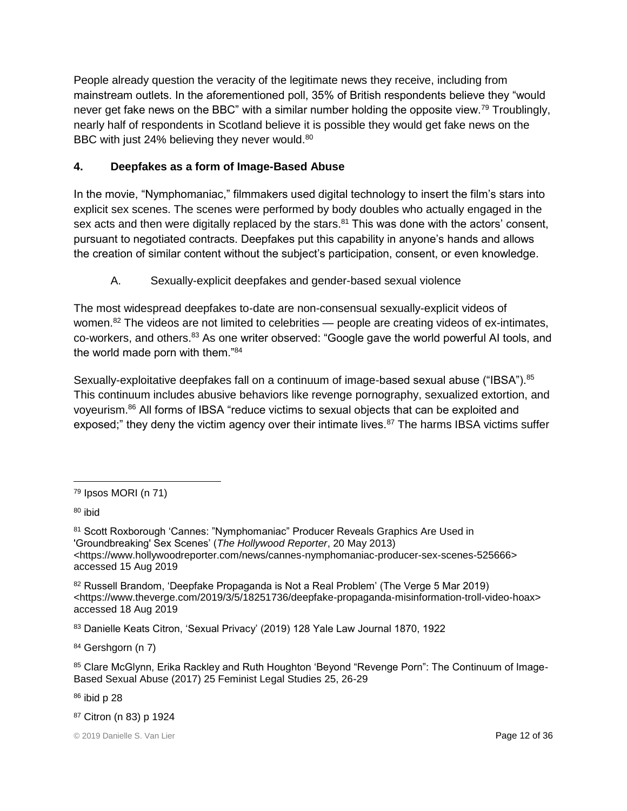People already question the veracity of the legitimate news they receive, including from mainstream outlets. In the aforementioned poll, 35% of British respondents believe they "would never get fake news on the BBC" with a similar number holding the opposite view.<sup>79</sup> Troublingly, nearly half of respondents in Scotland believe it is possible they would get fake news on the BBC with just 24% believing they never would.<sup>80</sup>

## **4. Deepfakes as a form of Image-Based Abuse**

In the movie, "Nymphomaniac," filmmakers used digital technology to insert the film's stars into explicit sex scenes. The scenes were performed by body doubles who actually engaged in the sex acts and then were digitally replaced by the stars.<sup>81</sup> This was done with the actors' consent, pursuant to negotiated contracts. Deepfakes put this capability in anyone's hands and allows the creation of similar content without the subject's participation, consent, or even knowledge.

A. Sexually-explicit deepfakes and gender-based sexual violence

The most widespread deepfakes to-date are non-consensual sexually-explicit videos of women. $82$  The videos are not limited to celebrities — people are creating videos of ex-intimates, co-workers, and others.<sup>83</sup> As one writer observed: "Google gave the world powerful AI tools, and the world made porn with them."<sup>84</sup>

Sexually-exploitative deepfakes fall on a continuum of image-based sexual abuse ("IBSA").<sup>85</sup> This continuum includes abusive behaviors like revenge pornography, sexualized extortion, and voyeurism.<sup>86</sup> All forms of IBSA "reduce victims to sexual objects that can be exploited and exposed;" they deny the victim agency over their intimate lives.<sup>87</sup> The harms IBSA victims suffer

<sup>80</sup> ibid

84 Gershgorn (n 7)

85 Clare McGlynn, Erika Rackley and Ruth Houghton 'Beyond "Revenge Porn": The Continuum of Image-Based Sexual Abuse (2017) 25 Feminist Legal Studies 25, 26-29

<sup>86</sup> ibid p 28

<sup>87</sup> Citron (n 83) p 1924

 $\overline{a}$ <sup>79</sup> Ipsos MORI (n 71)

<sup>81</sup> Scott Roxborough 'Cannes: "Nymphomaniac" Producer Reveals Graphics Are Used in 'Groundbreaking' Sex Scenes' (*The Hollywood Reporter*, 20 May 2013) <https://www.hollywoodreporter.com/news/cannes-nymphomaniac-producer-sex-scenes-525666> accessed 15 Aug 2019

<sup>82</sup> Russell Brandom, 'Deepfake Propaganda is Not a Real Problem' (The Verge 5 Mar 2019) <https://www.theverge.com/2019/3/5/18251736/deepfake-propaganda-misinformation-troll-video-hoax> accessed 18 Aug 2019

<sup>83</sup> Danielle Keats Citron, 'Sexual Privacy' (2019) 128 Yale Law Journal 1870, 1922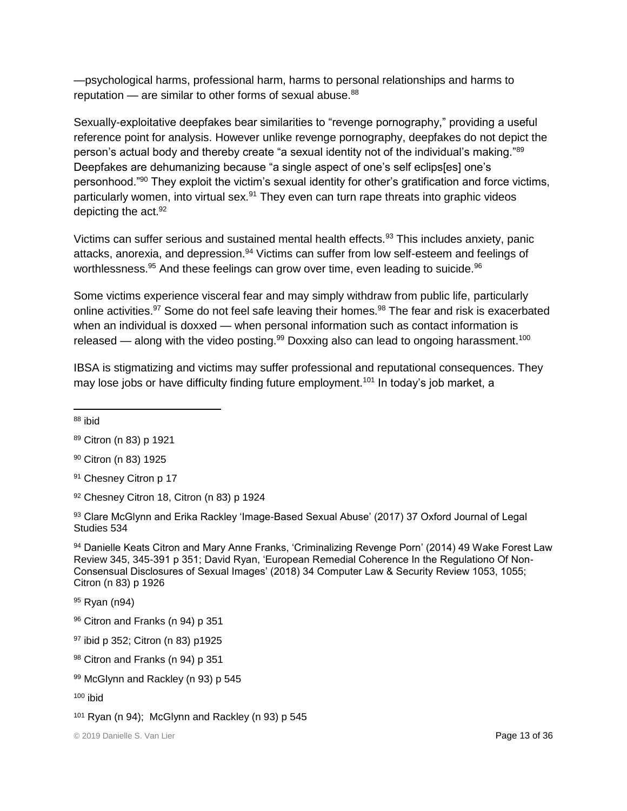—psychological harms, professional harm, harms to personal relationships and harms to reputation  $-$  are similar to other forms of sexual abuse. $88$ 

Sexually-exploitative deepfakes bear similarities to "revenge pornography," providing a useful reference point for analysis. However unlike revenge pornography, deepfakes do not depict the person's actual body and thereby create "a sexual identity not of the individual's making."89 Deepfakes are dehumanizing because "a single aspect of one's self eclips[es] one's personhood."<sup>90</sup> They exploit the victim's sexual identity for other's gratification and force victims, particularly women, into virtual sex.<sup>91</sup> They even can turn rape threats into graphic videos depicting the  $act.^{92}$ 

Victims can suffer serious and sustained mental health effects.<sup>93</sup> This includes anxiety, panic attacks, anorexia, and depression.<sup>94</sup> Victims can suffer from low self-esteem and feelings of worthlessness.<sup>95</sup> And these feelings can grow over time, even leading to suicide.<sup>96</sup>

Some victims experience visceral fear and may simply withdraw from public life, particularly online activities.<sup>97</sup> Some do not feel safe leaving their homes.<sup>98</sup> The fear and risk is exacerbated when an individual is doxxed — when personal information such as contact information is released — along with the video posting.<sup>99</sup> Doxxing also can lead to ongoing harassment.<sup>100</sup>

IBSA is stigmatizing and victims may suffer professional and reputational consequences. They may lose jobs or have difficulty finding future employment.<sup>101</sup> In today's job market, a

 $\overline{a}$ 

96 Citron and Franks (n 94) p 351

99 McGlynn and Rackley (n 93) p 545

<sup>88</sup> ibid

<sup>89</sup> Citron (n 83) p 1921

<sup>90</sup> Citron (n 83) 1925

<sup>91</sup> Chesney Citron p 17

<sup>92</sup> Chesney Citron 18, Citron (n 83) p 1924

<sup>93</sup> Clare McGlynn and Erika Rackley 'Image-Based Sexual Abuse' (2017) 37 Oxford Journal of Legal Studies 534

<sup>94</sup> Danielle Keats Citron and Mary Anne Franks, 'Criminalizing Revenge Porn' (2014) 49 Wake Forest Law Review 345, 345-391 p 351; David Ryan, 'European Remedial Coherence In the Regulationo Of Non-Consensual Disclosures of Sexual Images' (2018) 34 Computer Law & Security Review 1053, 1055; Citron (n 83) p 1926

<sup>95</sup> Ryan (n94)

<sup>97</sup> ibid p 352; Citron (n 83) p1925

<sup>98</sup> Citron and Franks (n 94) p 351

 $100$  ibid

 $101$  Ryan (n 94); McGlynn and Rackley (n 93) p 545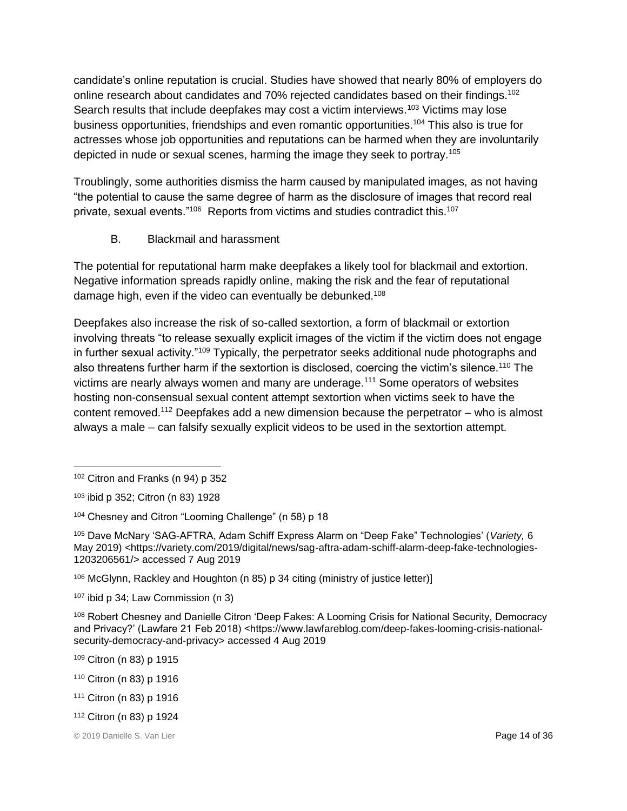candidate's online reputation is crucial. Studies have showed that nearly 80% of employers do online research about candidates and 70% rejected candidates based on their findings.<sup>102</sup> Search results that include deepfakes may cost a victim interviews.<sup>103</sup> Victims may lose business opportunities, friendships and even romantic opportunities.<sup>104</sup> This also is true for actresses whose job opportunities and reputations can be harmed when they are involuntarily depicted in nude or sexual scenes, harming the image they seek to portray.<sup>105</sup>

Troublingly, some authorities dismiss the harm caused by manipulated images, as not having "the potential to cause the same degree of harm as the disclosure of images that record real private, sexual events."<sup>106</sup> Reports from victims and studies contradict this.<sup>107</sup>

B. Blackmail and harassment

The potential for reputational harm make deepfakes a likely tool for blackmail and extortion. Negative information spreads rapidly online, making the risk and the fear of reputational damage high, even if the video can eventually be debunked.<sup>108</sup>

Deepfakes also increase the risk of so-called sextortion, a form of blackmail or extortion involving threats "to release sexually explicit images of the victim if the victim does not engage in further sexual activity."<sup>109</sup> Typically, the perpetrator seeks additional nude photographs and also threatens further harm if the sextortion is disclosed, coercing the victim's silence.<sup>110</sup> The victims are nearly always women and many are underage.<sup>111</sup> Some operators of websites hosting non-consensual sexual content attempt sextortion when victims seek to have the content removed.<sup>112</sup> Deepfakes add a new dimension because the perpetrator – who is almost always a male – can falsify sexually explicit videos to be used in the sextortion attempt.

 $\overline{a}$ 

<sup>106</sup> McGlynn, Rackley and Houghton (n 85) p 34 citing (ministry of justice letter)]

<sup>109</sup> Citron (n 83) p 1915

<sup>102</sup> Citron and Franks (n 94) p 352

<sup>103</sup> ibid p 352; Citron (n 83) 1928

<sup>104</sup> Chesney and Citron "Looming Challenge" (n 58) p 18

<sup>105</sup> Dave McNary 'SAG-AFTRA, Adam Schiff Express Alarm on "Deep Fake" Technologies' (*Variety,* 6 May 2019) <https://variety.com/2019/digital/news/sag-aftra-adam-schiff-alarm-deep-fake-technologies-1203206561/> accessed 7 Aug 2019

<sup>107</sup> ibid p 34; Law Commission (n 3)

<sup>108</sup> Robert Chesney and Danielle Citron 'Deep Fakes: A Looming Crisis for National Security, Democracy and Privacy?' (Lawfare 21 Feb 2018) <https://www.lawfareblog.com/deep-fakes-looming-crisis-nationalsecurity-democracy-and-privacy> accessed 4 Aug 2019

<sup>110</sup> Citron (n 83) p 1916

<sup>111</sup> Citron (n 83) p 1916

<sup>112</sup> Citron (n 83) p 1924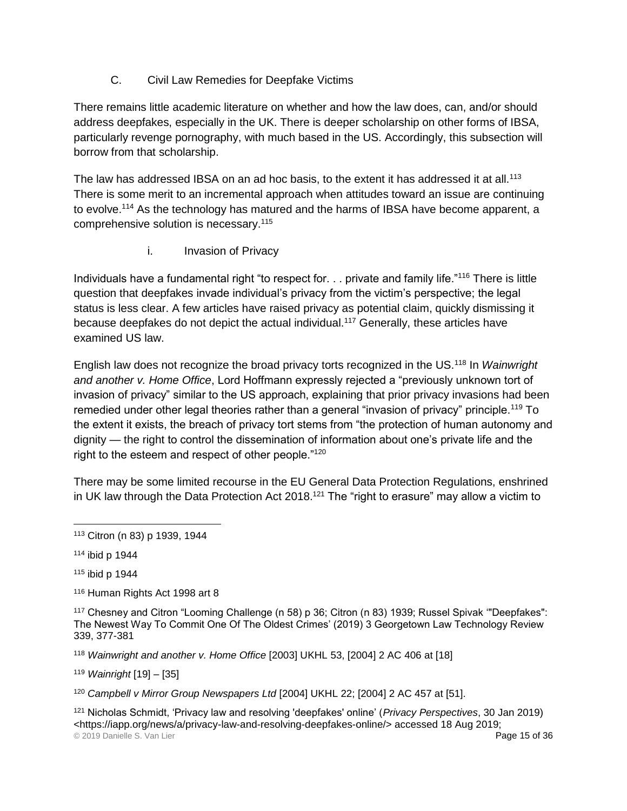C. Civil Law Remedies for Deepfake Victims

There remains little academic literature on whether and how the law does, can, and/or should address deepfakes, especially in the UK. There is deeper scholarship on other forms of IBSA, particularly revenge pornography, with much based in the US. Accordingly, this subsection will borrow from that scholarship.

The law has addressed IBSA on an ad hoc basis, to the extent it has addressed it at all.<sup>113</sup> There is some merit to an incremental approach when attitudes toward an issue are continuing to evolve.<sup>114</sup> As the technology has matured and the harms of IBSA have become apparent, a comprehensive solution is necessary.<sup>115</sup>

i. Invasion of Privacy

Individuals have a fundamental right "to respect for. . . private and family life."<sup>116</sup> There is little question that deepfakes invade individual's privacy from the victim's perspective; the legal status is less clear. A few articles have raised privacy as potential claim, quickly dismissing it because deepfakes do not depict the actual individual.<sup>117</sup> Generally, these articles have examined US law.

English law does not recognize the broad privacy torts recognized in the US.<sup>118</sup> In *Wainwright and another v. Home Office*, Lord Hoffmann expressly rejected a "previously unknown tort of invasion of privacy" similar to the US approach, explaining that prior privacy invasions had been remedied under other legal theories rather than a general "invasion of privacy" principle.<sup>119</sup> To the extent it exists, the breach of privacy tort stems from "the protection of human autonomy and dignity — the right to control the dissemination of information about one's private life and the right to the esteem and respect of other people."<sup>120</sup>

There may be some limited recourse in the EU General Data Protection Regulations, enshrined in UK law through the Data Protection Act 2018.<sup>121</sup> The "right to erasure" may allow a victim to

<sup>114</sup> ibid p 1944

 $\overline{a}$ 

<sup>115</sup> ibid p 1944

116 Human Rights Act 1998 art 8

<sup>117</sup> Chesney and Citron "Looming Challenge (n 58) p 36; Citron (n 83) 1939; Russel Spivak '"Deepfakes": The Newest Way To Commit One Of The Oldest Crimes' (2019) 3 Georgetown Law Technology Review 339, 377-381

<sup>118</sup> *Wainwright and another v. Home Office* [2003] UKHL 53, [2004] 2 AC 406 at [18]

<sup>119</sup> *Wainright* [19] – [35]

<sup>120</sup> *Campbell v Mirror Group Newspapers Ltd* [2004] UKHL 22; [2004] 2 AC 457 at [51].

© 2019 Danielle S. Van Lier Page 15 of 36 <sup>121</sup> Nicholas Schmidt, 'Privacy law and resolving 'deepfakes' online' (*Privacy Perspectives*, 30 Jan 2019) [<https://iapp.org/news/a/privacy-law-and-resolving-deepfakes-online/>](https://iapp.org/news/a/privacy-law-and-resolving-deepfakes-online/) accessed 18 Aug 2019;

<sup>113</sup> Citron (n 83) p 1939, 1944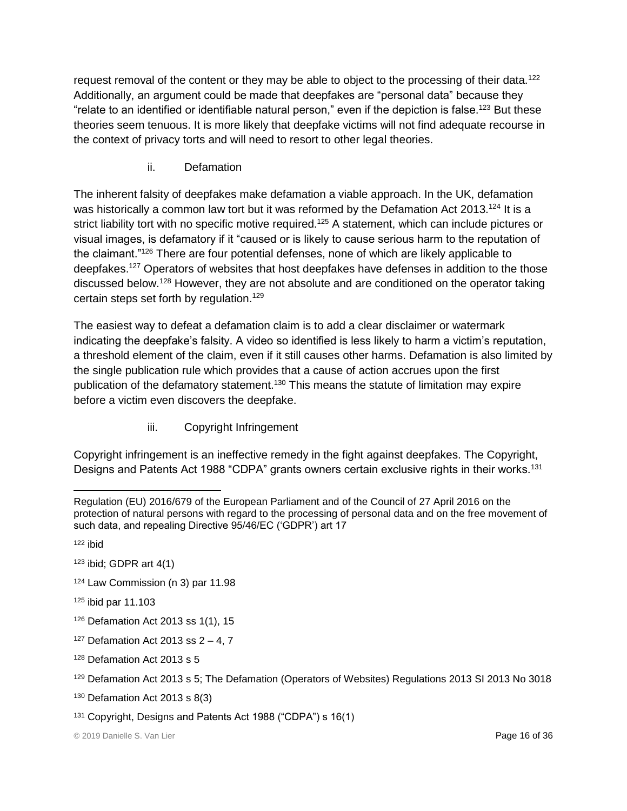request removal of the content or they may be able to object to the processing of their data.<sup>122</sup> Additionally, an argument could be made that deepfakes are "personal data" because they "relate to an identified or identifiable natural person," even if the depiction is false.<sup>123</sup> But these theories seem tenuous. It is more likely that deepfake victims will not find adequate recourse in the context of privacy torts and will need to resort to other legal theories.

ii. Defamation

The inherent falsity of deepfakes make defamation a viable approach. In the UK, defamation was historically a common law tort but it was reformed by the Defamation Act 2013.<sup>124</sup> It is a strict liability tort with no specific motive required.<sup>125</sup> A statement, which can include pictures or visual images, is defamatory if it "caused or is likely to cause serious harm to the reputation of the claimant."<sup>126</sup> There are four potential defenses, none of which are likely applicable to deepfakes.<sup>127</sup> Operators of websites that host deepfakes have defenses in addition to the those discussed below.<sup>128</sup> However, they are not absolute and are conditioned on the operator taking certain steps set forth by regulation.<sup>129</sup>

The easiest way to defeat a defamation claim is to add a clear disclaimer or watermark indicating the deepfake's falsity. A video so identified is less likely to harm a victim's reputation, a threshold element of the claim, even if it still causes other harms. Defamation is also limited by the single publication rule which provides that a cause of action accrues upon the first publication of the defamatory statement.<sup>130</sup> This means the statute of limitation may expire before a victim even discovers the deepfake.

iii. Copyright Infringement

Copyright infringement is an ineffective remedy in the fight against deepfakes. The Copyright, Designs and Patents Act 1988 "CDPA" grants owners certain exclusive rights in their works.<sup>131</sup>

 $\overline{a}$ 

- $123$  ibid; GDPR art  $4(1)$
- <sup>124</sup> Law Commission (n 3) par 11.98
- <sup>125</sup> ibid par 11.103
- $126$  Defamation Act 2013 ss 1(1), 15
- $127$  Defamation Act 2013 ss 2 4, 7
- <sup>128</sup> Defamation Act 2013 s 5
- <sup>129</sup> Defamation Act 2013 s 5; The Defamation (Operators of Websites) Regulations 2013 SI 2013 No 3018
- <sup>130</sup> Defamation Act 2013 s 8(3)
- <sup>131</sup> Copyright, Designs and Patents Act 1988 ("CDPA") s 16(1)

Regulation (EU) 2016/679 of the European Parliament and of the Council of 27 April 2016 on the protection of natural persons with regard to the processing of personal data and on the free movement of such data, and repealing Directive 95/46/EC ('GDPR') art 17

<sup>122</sup> ibid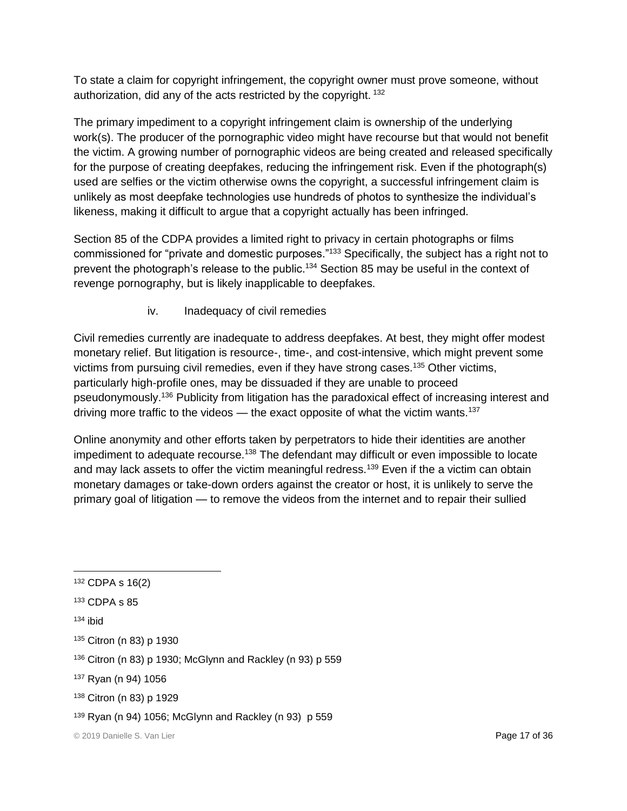To state a claim for copyright infringement, the copyright owner must prove someone, without authorization, did any of the acts restricted by the copyright. <sup>132</sup>

The primary impediment to a copyright infringement claim is ownership of the underlying work(s). The producer of the pornographic video might have recourse but that would not benefit the victim. A growing number of pornographic videos are being created and released specifically for the purpose of creating deepfakes, reducing the infringement risk. Even if the photograph(s) used are selfies or the victim otherwise owns the copyright, a successful infringement claim is unlikely as most deepfake technologies use hundreds of photos to synthesize the individual's likeness, making it difficult to argue that a copyright actually has been infringed.

Section 85 of the CDPA provides a limited right to privacy in certain photographs or films commissioned for "private and domestic purposes."<sup>133</sup> Specifically, the subject has a right not to prevent the photograph's release to the public.<sup>134</sup> Section 85 may be useful in the context of revenge pornography, but is likely inapplicable to deepfakes.

iv. Inadequacy of civil remedies

Civil remedies currently are inadequate to address deepfakes. At best, they might offer modest monetary relief. But litigation is resource-, time-, and cost-intensive, which might prevent some victims from pursuing civil remedies, even if they have strong cases.<sup>135</sup> Other victims, particularly high-profile ones, may be dissuaded if they are unable to proceed pseudonymously.<sup>136</sup> Publicity from litigation has the paradoxical effect of increasing interest and driving more traffic to the videos  $-$  the exact opposite of what the victim wants.<sup>137</sup>

Online anonymity and other efforts taken by perpetrators to hide their identities are another impediment to adequate recourse.<sup>138</sup> The defendant may difficult or even impossible to locate and may lack assets to offer the victim meaningful redress.<sup>139</sup> Even if the a victim can obtain monetary damages or take-down orders against the creator or host, it is unlikely to serve the primary goal of litigation — to remove the videos from the internet and to repair their sullied

<sup>138</sup> Citron (n 83) p 1929

 $\overline{a}$ <sup>132</sup> CDPA s 16(2)

<sup>133</sup> CDPA s 85

 $134$  ibid

<sup>135</sup> Citron (n 83) p 1930

<sup>136</sup> Citron (n 83) p 1930; McGlynn and Rackley (n 93) p 559

<sup>137</sup> Ryan (n 94) 1056

 $139$  Ryan (n 94) 1056; McGlynn and Rackley (n 93) p 559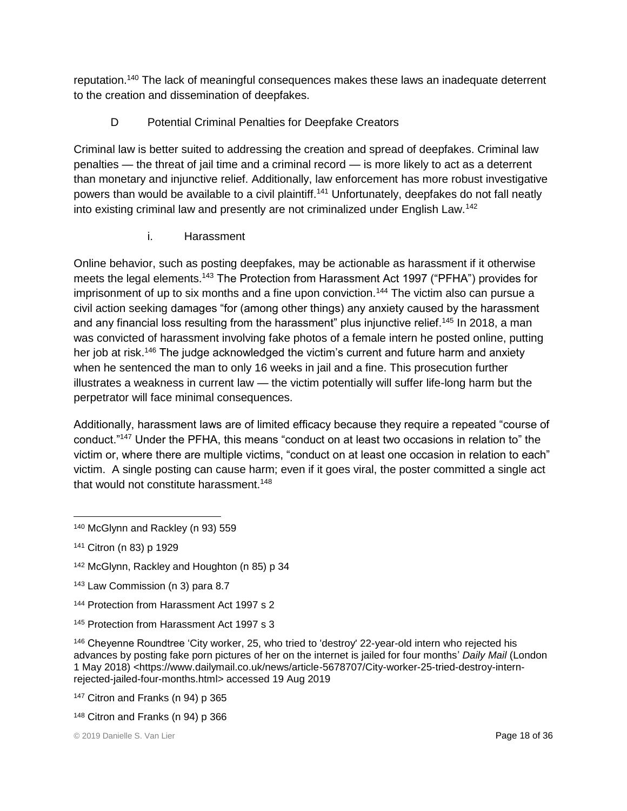reputation.<sup>140</sup> The lack of meaningful consequences makes these laws an inadequate deterrent to the creation and dissemination of deepfakes.

## D Potential Criminal Penalties for Deepfake Creators

Criminal law is better suited to addressing the creation and spread of deepfakes. Criminal law penalties — the threat of jail time and a criminal record — is more likely to act as a deterrent than monetary and injunctive relief. Additionally, law enforcement has more robust investigative powers than would be available to a civil plaintiff.<sup>141</sup> Unfortunately, deepfakes do not fall neatly into existing criminal law and presently are not criminalized under English Law.<sup>142</sup>

i. Harassment

Online behavior, such as posting deepfakes, may be actionable as harassment if it otherwise meets the legal elements.<sup>143</sup> The Protection from Harassment Act 1997 ("PFHA") provides for imprisonment of up to six months and a fine upon conviction.<sup>144</sup> The victim also can pursue a civil action seeking damages "for (among other things) any anxiety caused by the harassment and any financial loss resulting from the harassment" plus injunctive relief.<sup>145</sup> In 2018, a man was convicted of harassment involving fake photos of a female intern he posted online, putting her job at risk.<sup>146</sup> The judge acknowledged the victim's current and future harm and anxiety when he sentenced the man to only 16 weeks in jail and a fine. This prosecution further illustrates a weakness in current law — the victim potentially will suffer life-long harm but the perpetrator will face minimal consequences.

Additionally, harassment laws are of limited efficacy because they require a repeated "course of conduct."<sup>147</sup> Under the PFHA, this means "conduct on at least two occasions in relation to" the victim or, where there are multiple victims, "conduct on at least one occasion in relation to each" victim. A single posting can cause harm; even if it goes viral, the poster committed a single act that would not constitute harassment.<sup>148</sup>

- 143 Law Commission (n 3) para 8.7
- 144 Protection from Harassment Act 1997 s 2
- 145 Protection from Harassment Act 1997 s 3

 $\overline{a}$ <sup>140</sup> McGlynn and Rackley (n 93) 559

<sup>141</sup> Citron (n 83) p 1929

<sup>142</sup> McGlynn, Rackley and Houghton (n 85) p 34

<sup>&</sup>lt;sup>146</sup> Cheyenne Roundtree 'City worker, 25, who tried to 'destroy' 22-year-old intern who rejected his advances by posting fake porn pictures of her on the internet is jailed for four months' *Daily Mail* (London 1 May 2018) <https://www.dailymail.co.uk/news/article-5678707/City-worker-25-tried-destroy-internrejected-jailed-four-months.html> accessed 19 Aug 2019

<sup>147</sup> Citron and Franks (n 94) p 365

<sup>148</sup> Citron and Franks (n 94) p 366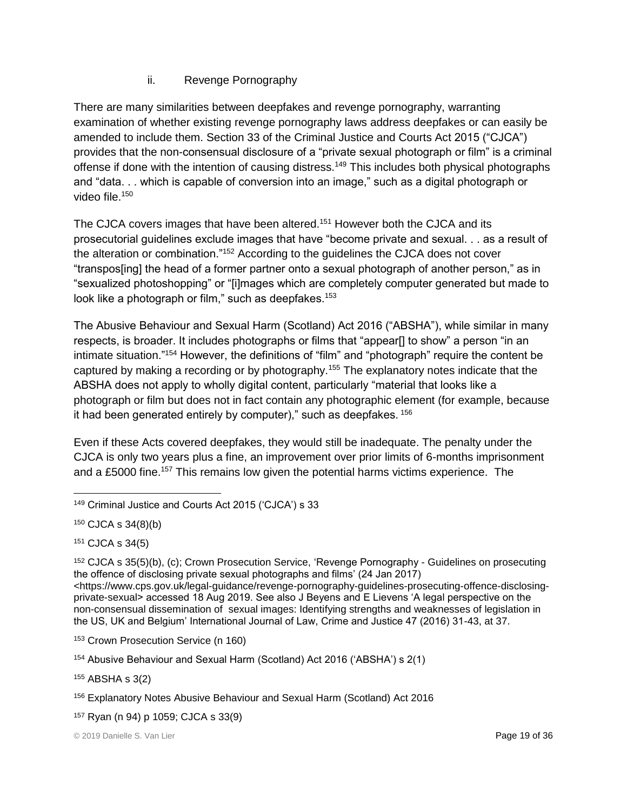#### ii. Revenge Pornography

There are many similarities between deepfakes and revenge pornography, warranting examination of whether existing revenge pornography laws address deepfakes or can easily be amended to include them. Section 33 of the Criminal Justice and Courts Act 2015 ("CJCA") provides that the non-consensual disclosure of a "private sexual photograph or film" is a criminal offense if done with the intention of causing distress.<sup>149</sup> This includes both physical photographs and "data. . . which is capable of conversion into an image," such as a digital photograph or video file.<sup>150</sup>

The CJCA covers images that have been altered.<sup>151</sup> However both the CJCA and its prosecutorial guidelines exclude images that have "become private and sexual. . . as a result of the alteration or combination."<sup>152</sup> According to the guidelines the CJCA does not cover "transpos[ing] the head of a former partner onto a sexual photograph of another person," as in "sexualized photoshopping" or "[i]mages which are completely computer generated but made to look like a photograph or film," such as deepfakes.<sup>153</sup>

The Abusive Behaviour and Sexual Harm (Scotland) Act 2016 ("ABSHA"), while similar in many respects, is broader. It includes photographs or films that "appear[] to show" a person "in an intimate situation."<sup>154</sup> However, the definitions of "film" and "photograph" require the content be captured by making a recording or by photography.<sup>155</sup> The explanatory notes indicate that the ABSHA does not apply to wholly digital content, particularly "material that looks like a photograph or film but does not in fact contain any photographic element (for example, because it had been generated entirely by computer)," such as deepfakes. <sup>156</sup>

Even if these Acts covered deepfakes, they would still be inadequate. The penalty under the CJCA is only two years plus a fine, an improvement over prior limits of 6-months imprisonment and a £5000 fine.<sup>157</sup> This remains low given the potential harms victims experience. The

<sup>151</sup> CJCA s 34(5)

<sup>152</sup> CJCA s 35(5)(b), (c); Crown Prosecution Service, 'Revenge Pornography - Guidelines on prosecuting the offence of disclosing private sexual photographs and films' (24 Jan 2017) [<https://www.cps.gov.uk/legal-guidance/revenge-pornography-guidelines-prosecuting-offence-disclosing](https://www.cps.gov.uk/legal-guidance/revenge-pornography-guidelines-prosecuting-offence-disclosing-private-sexual)[private-sexual>](https://www.cps.gov.uk/legal-guidance/revenge-pornography-guidelines-prosecuting-offence-disclosing-private-sexual) accessed 18 Aug 2019. See also J Beyens and E Lievens 'A legal perspective on the non-consensual dissemination of sexual images: Identifying strengths and weaknesses of legislation in the US, UK and Belgium' International Journal of Law, Crime and Justice 47 (2016) 31-43, at 37.

<sup>153</sup> Crown Prosecution Service (n 160)

<sup>154</sup> Abusive Behaviour and Sexual Harm (Scotland) Act 2016 ('ABSHA') s 2(1)

<sup>155</sup> ABSHA s 3(2)

 $\overline{a}$ <sup>149</sup> Criminal Justice and Courts Act 2015 ('CJCA') s 33

<sup>150</sup> CJCA s 34(8)(b)

<sup>156</sup> Explanatory Notes Abusive Behaviour and Sexual Harm (Scotland) Act 2016

<sup>157</sup> Ryan (n 94) p 1059; CJCA s 33(9)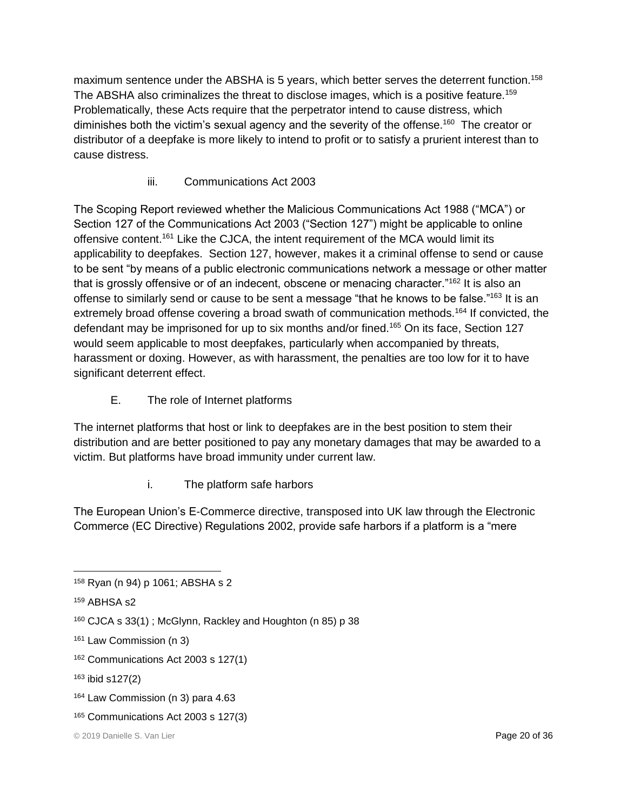maximum sentence under the ABSHA is 5 years, which better serves the deterrent function.<sup>158</sup> The ABSHA also criminalizes the threat to disclose images, which is a positive feature.<sup>159</sup> Problematically, these Acts require that the perpetrator intend to cause distress, which diminishes both the victim's sexual agency and the severity of the offense.<sup>160</sup> The creator or distributor of a deepfake is more likely to intend to profit or to satisfy a prurient interest than to cause distress.

## iii. Communications Act 2003

The Scoping Report reviewed whether the Malicious Communications Act 1988 ("MCA") or Section 127 of the Communications Act 2003 ("Section 127") might be applicable to online offensive content.<sup>161</sup> Like the CJCA, the intent requirement of the MCA would limit its applicability to deepfakes. Section 127, however, makes it a criminal offense to send or cause to be sent "by means of a public electronic communications network a message or other matter that is grossly offensive or of an indecent, obscene or menacing character."<sup>162</sup> It is also an offense to similarly send or cause to be sent a message "that he knows to be false."163 It is an extremely broad offense covering a broad swath of communication methods.<sup>164</sup> If convicted, the defendant may be imprisoned for up to six months and/or fined.<sup>165</sup> On its face, Section 127 would seem applicable to most deepfakes, particularly when accompanied by threats, harassment or doxing. However, as with harassment, the penalties are too low for it to have significant deterrent effect.

E. The role of Internet platforms

The internet platforms that host or link to deepfakes are in the best position to stem their distribution and are better positioned to pay any monetary damages that may be awarded to a victim. But platforms have broad immunity under current law.

i. The platform safe harbors

The European Union's E-Commerce directive, transposed into UK law through the Electronic Commerce (EC Directive) Regulations 2002, provide safe harbors if a platform is a "mere

- <sup>161</sup> Law Commission (n 3)
- <sup>162</sup> Communications Act 2003 s 127(1)
- <sup>163</sup> ibid s127(2)
- <sup>164</sup> Law Commission (n 3) para 4.63
- <sup>165</sup> Communications Act 2003 s 127(3)

 $\overline{a}$ <sup>158</sup> Ryan (n 94) p 1061; ABSHA s 2

<sup>159</sup> ABHSA s2

<sup>160</sup> CJCA s 33(1) ; McGlynn, Rackley and Houghton (n 85) p 38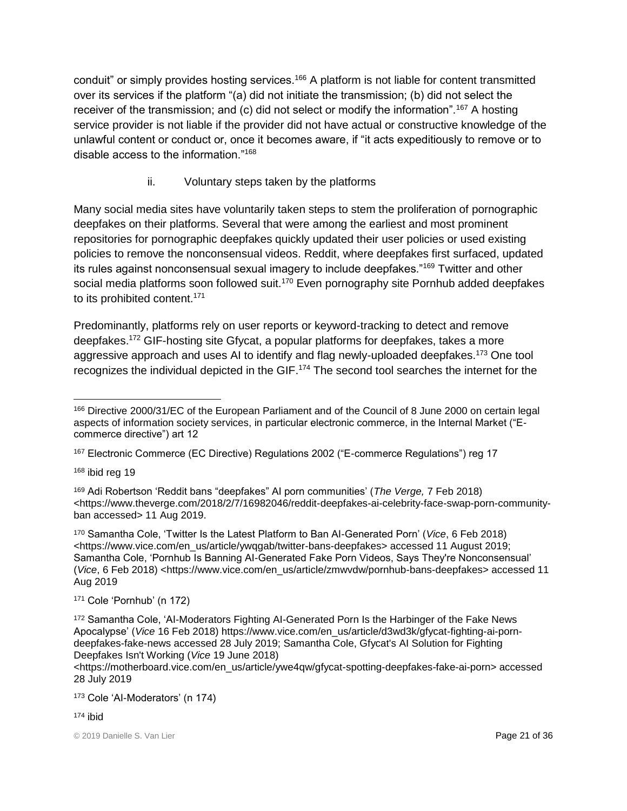conduit" or simply provides hosting services.<sup>166</sup> A platform is not liable for content transmitted over its services if the platform "(a) did not initiate the transmission; (b) did not select the receiver of the transmission; and (c) did not select or modify the information".<sup>167</sup> A hosting service provider is not liable if the provider did not have actual or constructive knowledge of the unlawful content or conduct or, once it becomes aware, if "it acts expeditiously to remove or to disable access to the information."<sup>168</sup>

## ii. Voluntary steps taken by the platforms

Many social media sites have voluntarily taken steps to stem the proliferation of pornographic deepfakes on their platforms. Several that were among the earliest and most prominent repositories for pornographic deepfakes quickly updated their user policies or used existing policies to remove the nonconsensual videos. Reddit, where deepfakes first surfaced, updated its rules against nonconsensual sexual imagery to include deepfakes."<sup>169</sup> Twitter and other social media platforms soon followed suit.<sup>170</sup> Even pornography site Pornhub added deepfakes to its prohibited content.<sup>171</sup>

Predominantly, platforms rely on user reports or keyword-tracking to detect and remove deepfakes.<sup>172</sup> GIF-hosting site Gfycat, a popular platforms for deepfakes, takes a more aggressive approach and uses AI to identify and flag newly-uploaded deepfakes.<sup>173</sup> One tool recognizes the individual depicted in the GIF.<sup>174</sup> The second tool searches the internet for the

<sup>168</sup> ibid reg 19

<sup>171</sup> Cole 'Pornhub' (n 172)

 $\overline{a}$ <sup>166</sup> Directive 2000/31/EC of the European Parliament and of the Council of 8 June 2000 on certain legal aspects of information society services, in particular electronic commerce, in the Internal Market ("Ecommerce directive") art 12

<sup>167</sup> Electronic Commerce (EC Directive) Regulations 2002 ("E-commerce Regulations") reg 17

<sup>169</sup> Adi Robertson 'Reddit bans "deepfakes" AI porn communities' (*The Verge,* 7 Feb 2018) <https://www.theverge.com/2018/2/7/16982046/reddit-deepfakes-ai-celebrity-face-swap-porn-communityban accessed> 11 Aug 2019.

<sup>170</sup> Samantha Cole, 'Twitter Is the Latest Platform to Ban AI-Generated Porn' (*Vice*, 6 Feb 2018) <https://www.vice.com/en\_us/article/ywqgab/twitter-bans-deepfakes> accessed 11 August 2019; Samantha Cole, 'Pornhub Is Banning AI-Generated Fake Porn Videos, Says They're Nonconsensual' (*Vice*, 6 Feb 2018) <https://www.vice.com/en\_us/article/zmwvdw/pornhub-bans-deepfakes> accessed 11 Aug 2019

<sup>172</sup> Samantha Cole, 'AI-Moderators Fighting AI-Generated Porn Is the Harbinger of the Fake News Apocalypse' (*Vice* 16 Feb 2018) https://www.vice.com/en\_us/article/d3wd3k/gfycat-fighting-ai-porndeepfakes-fake-news accessed 28 July 2019; Samantha Cole, Gfycat's AI Solution for Fighting Deepfakes Isn't Working (*Vice* 19 June 2018)

<sup>&</sup>lt;https://motherboard.vice.com/en\_us/article/ywe4qw/gfycat-spotting-deepfakes-fake-ai-porn> accessed 28 July 2019

<sup>173</sup> Cole 'AI-Moderators' (n 174)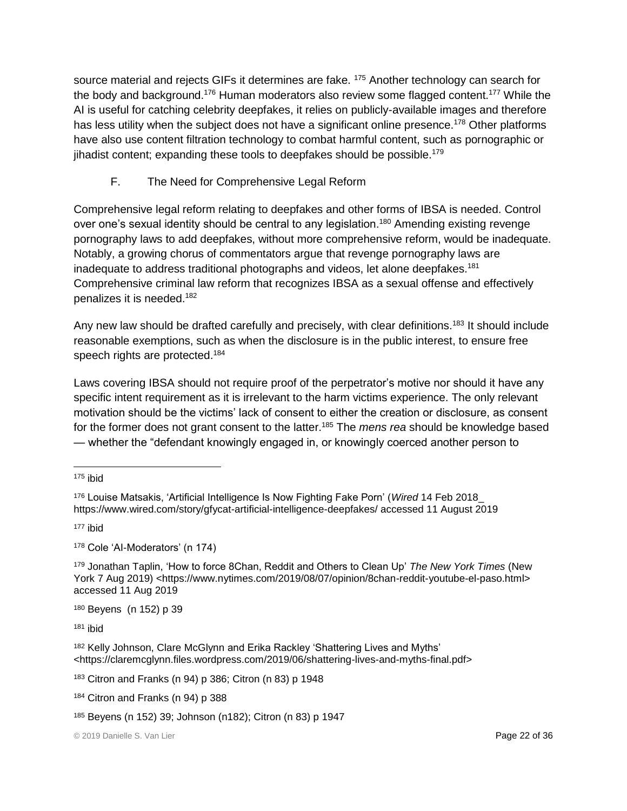source material and rejects GIFs it determines are fake. <sup>175</sup> Another technology can search for the body and background.<sup>176</sup> Human moderators also review some flagged content.<sup>177</sup> While the AI is useful for catching celebrity deepfakes, it relies on publicly-available images and therefore has less utility when the subject does not have a significant online presence.<sup>178</sup> Other platforms have also use content filtration technology to combat harmful content, such as pornographic or jihadist content; expanding these tools to deepfakes should be possible.<sup>179</sup>

## F. The Need for Comprehensive Legal Reform

Comprehensive legal reform relating to deepfakes and other forms of IBSA is needed. Control over one's sexual identity should be central to any legislation.<sup>180</sup> Amending existing revenge pornography laws to add deepfakes, without more comprehensive reform, would be inadequate. Notably, a growing chorus of commentators argue that revenge pornography laws are inadequate to address traditional photographs and videos, let alone deepfakes.<sup>181</sup> Comprehensive criminal law reform that recognizes IBSA as a sexual offense and effectively penalizes it is needed.<sup>182</sup>

Any new law should be drafted carefully and precisely, with clear definitions.<sup>183</sup> It should include reasonable exemptions, such as when the disclosure is in the public interest, to ensure free speech rights are protected.<sup>184</sup>

Laws covering IBSA should not require proof of the perpetrator's motive nor should it have any specific intent requirement as it is irrelevant to the harm victims experience. The only relevant motivation should be the victims' lack of consent to either the creation or disclosure, as consent for the former does not grant consent to the latter.<sup>185</sup> The *mens rea* should be knowledge based — whether the "defendant knowingly engaged in, or knowingly coerced another person to

<sup>177</sup> ibid

<sup>178</sup> Cole 'AI-Moderators' (n 174)

<sup>179</sup> Jonathan Taplin, 'How to force 8Chan, Reddit and Others to Clean Up' *The New York Times* (New York 7 Aug 2019) <https://www.nytimes.com/2019/08/07/opinion/8chan-reddit-youtube-el-paso.html> accessed 11 Aug 2019

<sup>180</sup> Beyens (n 152) p 39

<sup>181</sup> ibid

182 Kelly Johnson, Clare McGlynn and Erika Rackley 'Shattering Lives and Myths' <https://claremcglynn.files.wordpress.com/2019/06/shattering-lives-and-myths-final.pdf>

<sup>183</sup> Citron and Franks (n 94) p 386; Citron (n 83) p 1948

184 Citron and Franks (n 94) p 388

 $\overline{a}$  $175$  ibid

<sup>176</sup> Louise Matsakis, 'Artificial Intelligence Is Now Fighting Fake Porn' (*Wired* 14 Feb 2018\_ https://www.wired.com/story/gfycat-artificial-intelligence-deepfakes/ accessed 11 August 2019

<sup>185</sup> Beyens (n 152) 39; Johnson (n182); Citron (n 83) p 1947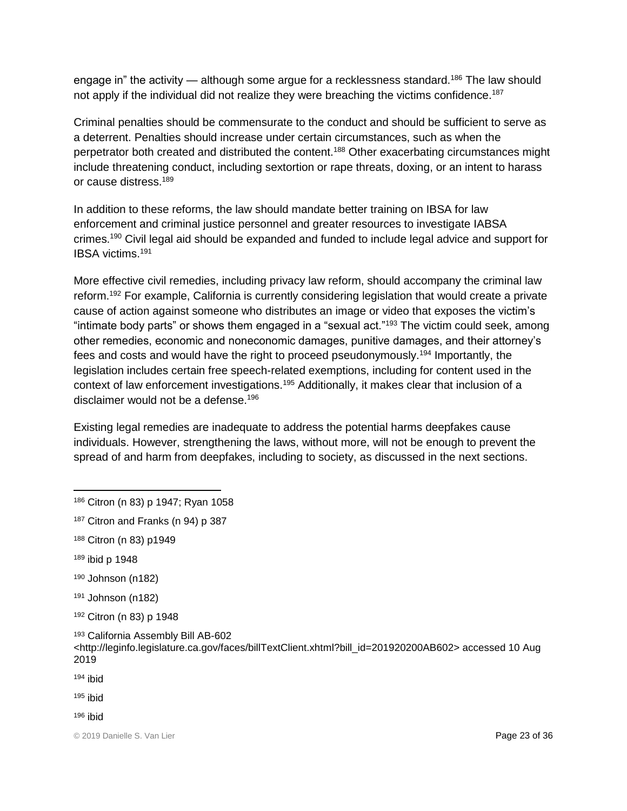engage in" the activity — although some argue for a recklessness standard.<sup>186</sup> The law should not apply if the individual did not realize they were breaching the victims confidence.<sup>187</sup>

Criminal penalties should be commensurate to the conduct and should be sufficient to serve as a deterrent. Penalties should increase under certain circumstances, such as when the perpetrator both created and distributed the content.<sup>188</sup> Other exacerbating circumstances might include threatening conduct, including sextortion or rape threats, doxing, or an intent to harass or cause distress.<sup>189</sup>

In addition to these reforms, the law should mandate better training on IBSA for law enforcement and criminal justice personnel and greater resources to investigate IABSA crimes.<sup>190</sup> Civil legal aid should be expanded and funded to include legal advice and support for IBSA victims.<sup>191</sup>

More effective civil remedies, including privacy law reform, should accompany the criminal law reform.<sup>192</sup> For example, California is currently considering legislation that would create a private cause of action against someone who distributes an image or video that exposes the victim's "intimate body parts" or shows them engaged in a "sexual act."<sup>193</sup> The victim could seek, among other remedies, economic and noneconomic damages, punitive damages, and their attorney's fees and costs and would have the right to proceed pseudonymously.<sup>194</sup> Importantly, the legislation includes certain free speech-related exemptions, including for content used in the context of law enforcement investigations.<sup>195</sup> Additionally, it makes clear that inclusion of a disclaimer would not be a defense.<sup>196</sup>

Existing legal remedies are inadequate to address the potential harms deepfakes cause individuals. However, strengthening the laws, without more, will not be enough to prevent the spread of and harm from deepfakes, including to society, as discussed in the next sections.

- <sup>188</sup> Citron (n 83) p1949
- <sup>189</sup> ibid p 1948

 $\overline{a}$ 

- <sup>190</sup> Johnson (n182)
- $191$  Johnson (n182)
- <sup>192</sup> Citron (n 83) p 1948
- <sup>193</sup> California Assembly Bill AB-602 <http://leginfo.legislature.ca.gov/faces/billTextClient.xhtml?bill\_id=201920200AB602> accessed 10 Aug 2019
- $194$  ibid
- $195$  ibid
- $196$  ibid

<sup>186</sup> Citron (n 83) p 1947; Ryan 1058

<sup>187</sup> Citron and Franks (n 94) p 387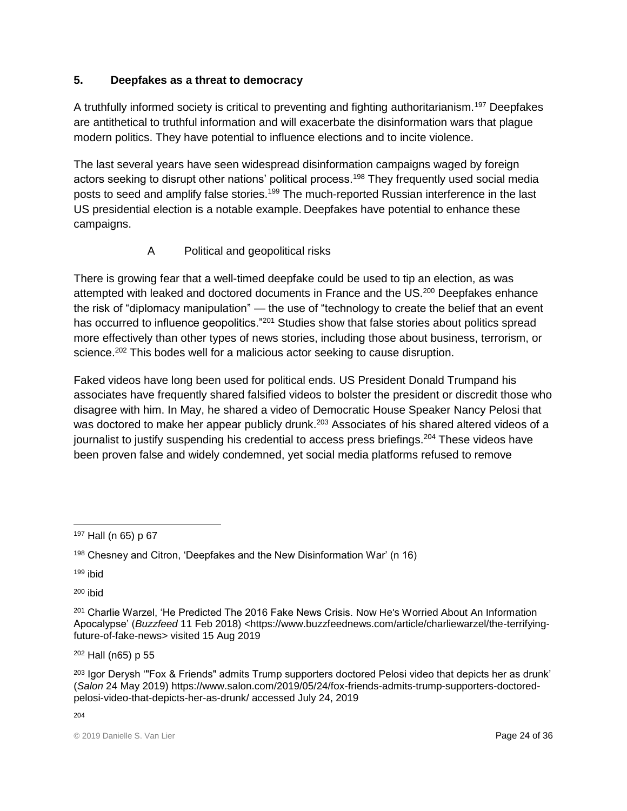#### **5. Deepfakes as a threat to democracy**

A truthfully informed society is critical to preventing and fighting authoritarianism.<sup>197</sup> Deepfakes are antithetical to truthful information and will exacerbate the disinformation wars that plague modern politics. They have potential to influence elections and to incite violence.

The last several years have seen widespread disinformation campaigns waged by foreign actors seeking to disrupt other nations' political process.<sup>198</sup> They frequently used social media posts to seed and amplify false stories.<sup>199</sup> The much-reported Russian interference in the last US presidential election is a notable example. Deepfakes have potential to enhance these campaigns.

## A Political and geopolitical risks

There is growing fear that a well-timed deepfake could be used to tip an election, as was attempted with leaked and doctored documents in France and the US.<sup>200</sup> Deepfakes enhance the risk of "diplomacy manipulation" — the use of "technology to create the belief that an event has occurred to influence geopolitics."<sup>201</sup> Studies show that false stories about politics spread more effectively than other types of news stories, including those about business, terrorism, or science.<sup>202</sup> This bodes well for a malicious actor seeking to cause disruption.

Faked videos have long been used for political ends. US President Donald Trumpand his associates have frequently shared falsified videos to bolster the president or discredit those who disagree with him. In May, he shared a video of Democratic House Speaker Nancy Pelosi that was doctored to make her appear publicly drunk.<sup>203</sup> Associates of his shared altered videos of a journalist to justify suspending his credential to access press briefings.<sup>204</sup> These videos have been proven false and widely condemned, yet social media platforms refused to remove

<sup>199</sup> ibid

<sup>200</sup> ibid

<sup>202</sup> Hall (n65) p 55

<sup>203</sup> Igor Derysh "Fox & Friends" admits Trump supporters doctored Pelosi video that depicts her as drunk' (*Salon* 24 May 2019) [https://www.salon.com/2019/05/24/fox-friends-admits-trump-supporters-doctored](https://www.salon.com/2019/05/24/fox-friends-admits-trump-supporters-doctored-pelosi-video-that-depicts-her-as-drunk/)[pelosi-video-that-depicts-her-as-drunk/](https://www.salon.com/2019/05/24/fox-friends-admits-trump-supporters-doctored-pelosi-video-that-depicts-her-as-drunk/) accessed July 24, 2019

204

 $\overline{a}$ <sup>197</sup> Hall (n 65) p 67

<sup>198</sup> Chesney and Citron, 'Deepfakes and the New Disinformation War' (n 16)

<sup>201</sup> Charlie Warzel, 'He Predicted The 2016 Fake News Crisis. Now He's Worried About An Information Apocalypse' (*Buzzfeed* 11 Feb 2018) <https://www.buzzfeednews.com/article/charliewarzel/the-terrifyingfuture-of-fake-news> visited 15 Aug 2019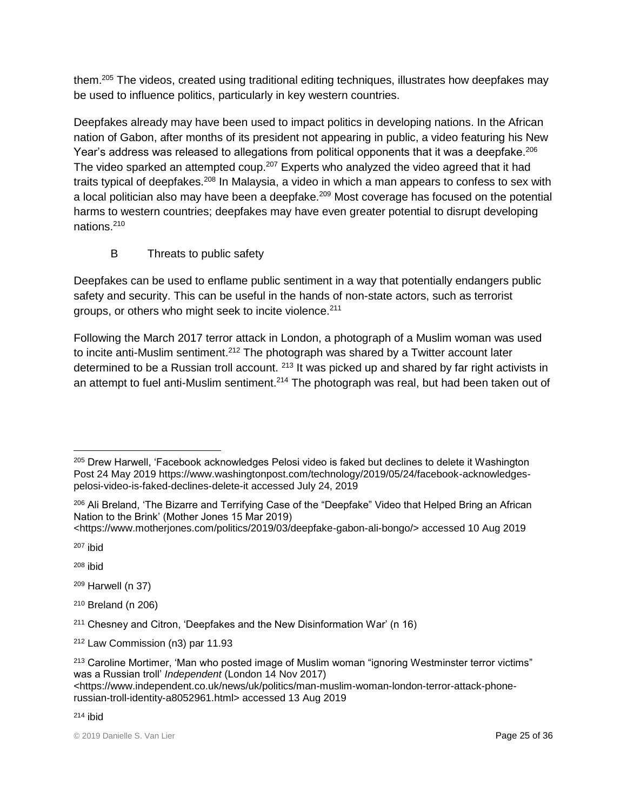them.<sup>205</sup> The videos, created using traditional editing techniques, illustrates how deepfakes may be used to influence politics, particularly in key western countries.

Deepfakes already may have been used to impact politics in developing nations. In the African nation of Gabon, after months of its president not appearing in public, a video featuring his New Year's address was released to allegations from political opponents that it was a deepfake.<sup>206</sup> The video sparked an attempted coup.<sup>207</sup> Experts who analyzed the video agreed that it had traits typical of deepfakes.<sup>208</sup> In Malaysia, a video in which a man appears to confess to sex with a local politician also may have been a deepfake.<sup>209</sup> Most coverage has focused on the potential harms to western countries; deepfakes may have even greater potential to disrupt developing nations.<sup>210</sup>

## B Threats to public safety

Deepfakes can be used to enflame public sentiment in a way that potentially endangers public safety and security. This can be useful in the hands of non-state actors, such as terrorist groups, or others who might seek to incite violence.<sup>211</sup>

Following the March 2017 terror attack in London, a photograph of a Muslim woman was used to incite anti-Muslim sentiment.<sup>212</sup> The photograph was shared by a Twitter account later determined to be a Russian troll account. <sup>213</sup> It was picked up and shared by far right activists in an attempt to fuel anti-Muslim sentiment.<sup>214</sup> The photograph was real, but had been taken out of

[<https://www.motherjones.com/politics/2019/03/deepfake-gabon-ali-bongo/>](https://www.motherjones.com/politics/2019/03/deepfake-gabon-ali-bongo/) accessed 10 Aug 2019

<sup>207</sup> ibid

 $208$  ibid

<sup>209</sup> Harwell (n 37)

<sup>210</sup> Breland (n 206)

 $\overline{a}$ <sup>205</sup> Drew Harwell, 'Facebook acknowledges Pelosi video is faked but declines to delete it Washington Post 24 May 2019 [https://www.washingtonpost.com/technology/2019/05/24/facebook-acknowledges](https://www.washingtonpost.com/technology/2019/05/24/facebook-acknowledges-pelosi-video-is-faked-declines-delete-it)[pelosi-video-is-faked-declines-delete-it](https://www.washingtonpost.com/technology/2019/05/24/facebook-acknowledges-pelosi-video-is-faked-declines-delete-it) accessed July 24, 2019

<sup>206</sup> Ali Breland, 'The Bizarre and Terrifying Case of the "Deepfake" Video that Helped Bring an African Nation to the Brink' (Mother Jones 15 Mar 2019)

<sup>211</sup> Chesney and Citron, 'Deepfakes and the New Disinformation War' (n 16)

<sup>212</sup> Law Commission (n3) par 11.93

<sup>213</sup> Caroline Mortimer, 'Man who posted image of Muslim woman "ignoring Westminster terror victims" was a Russian troll' *Independent* (London 14 Nov 2017)

<sup>&</sup>lt;https://www.independent.co.uk/news/uk/politics/man-muslim-woman-london-terror-attack-phonerussian-troll-identity-a8052961.html> accessed 13 Aug 2019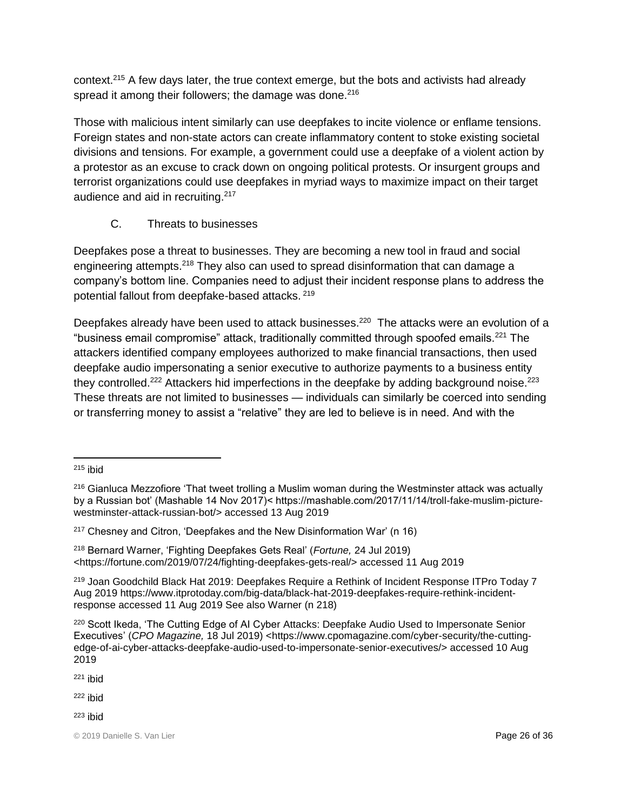context.<sup>215</sup> A few days later, the true context emerge, but the bots and activists had already spread it among their followers; the damage was done.<sup>216</sup>

Those with malicious intent similarly can use deepfakes to incite violence or enflame tensions. Foreign states and non-state actors can create inflammatory content to stoke existing societal divisions and tensions. For example, a government could use a deepfake of a violent action by a protestor as an excuse to crack down on ongoing political protests. Or insurgent groups and terrorist organizations could use deepfakes in myriad ways to maximize impact on their target audience and aid in recruiting.<sup>217</sup>

C. Threats to businesses

Deepfakes pose a threat to businesses. They are becoming a new tool in fraud and social engineering attempts.<sup>218</sup> They also can used to spread disinformation that can damage a company's bottom line. Companies need to adjust their incident response plans to address the potential fallout from deepfake-based attacks. <sup>219</sup>

Deepfakes already have been used to attack businesses.<sup>220</sup> The attacks were an evolution of a "business email compromise" attack, traditionally committed through spoofed emails.<sup>221</sup> The attackers identified company employees authorized to make financial transactions, then used deepfake audio impersonating a senior executive to authorize payments to a business entity they controlled.<sup>222</sup> Attackers hid imperfections in the deepfake by adding background noise.<sup>223</sup> These threats are not limited to businesses — individuals can similarly be coerced into sending or transferring money to assist a "relative" they are led to believe is in need. And with the

<sup>219</sup> Joan Goodchild Black Hat 2019: Deepfakes Require a Rethink of Incident Response ITPro Today 7 Aug 2019 https://www.itprotoday.com/big-data/black-hat-2019-deepfakes-require-rethink-incidentresponse accessed 11 Aug 2019 See also Warner (n 218)

 $221$  ibid

 $222$  ibid

 $\overline{a}$  $215$  ibid

<sup>216</sup> Gianluca Mezzofiore 'That tweet trolling a Muslim woman during the Westminster attack was actually by a Russian bot' (Mashable 14 Nov 2017)< https://mashable.com/2017/11/14/troll-fake-muslim-picturewestminster-attack-russian-bot/> accessed 13 Aug 2019

<sup>217</sup> Chesney and Citron, 'Deepfakes and the New Disinformation War' (n 16)

<sup>218</sup> Bernard Warner, 'Fighting Deepfakes Gets Real' (*Fortune,* 24 Jul 2019) <https://fortune.com/2019/07/24/fighting-deepfakes-gets-real/> accessed 11 Aug 2019

<sup>220</sup> Scott Ikeda, 'The Cutting Edge of AI Cyber Attacks: Deepfake Audio Used to Impersonate Senior Executives' (CPO Magazine, 18 Jul 2019) <https://www.cpomagazine.com/cyber-security/the-cuttingedge-of-ai-cyber-attacks-deepfake-audio-used-to-impersonate-senior-executives/> accessed 10 Aug 2019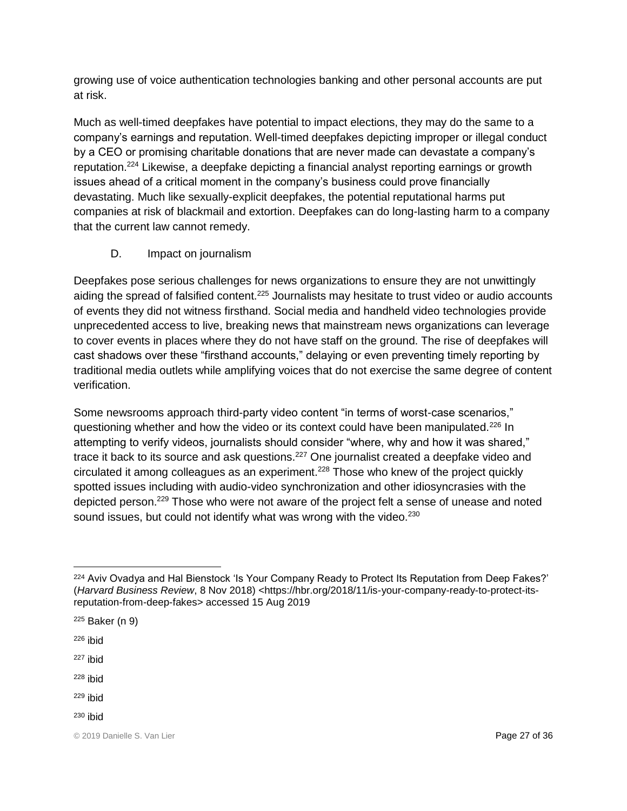growing use of voice authentication technologies banking and other personal accounts are put at risk.

Much as well-timed deepfakes have potential to impact elections, they may do the same to a company's earnings and reputation. Well-timed deepfakes depicting improper or illegal conduct by a CEO or promising charitable donations that are never made can devastate a company's reputation.<sup>224</sup> Likewise, a deepfake depicting a financial analyst reporting earnings or growth issues ahead of a critical moment in the company's business could prove financially devastating. Much like sexually-explicit deepfakes, the potential reputational harms put companies at risk of blackmail and extortion. Deepfakes can do long-lasting harm to a company that the current law cannot remedy.

#### D. Impact on journalism

Deepfakes pose serious challenges for news organizations to ensure they are not unwittingly aiding the spread of falsified content.<sup>225</sup> Journalists may hesitate to trust video or audio accounts of events they did not witness firsthand. Social media and handheld video technologies provide unprecedented access to live, breaking news that mainstream news organizations can leverage to cover events in places where they do not have staff on the ground. The rise of deepfakes will cast shadows over these "firsthand accounts," delaying or even preventing timely reporting by traditional media outlets while amplifying voices that do not exercise the same degree of content verification.

Some newsrooms approach third-party video content "in terms of worst-case scenarios," questioning whether and how the video or its context could have been manipulated.<sup>226</sup> In attempting to verify videos, journalists should consider "where, why and how it was shared," trace it back to its source and ask questions.<sup>227</sup> One journalist created a deepfake video and circulated it among colleagues as an experiment.<sup>228</sup> Those who knew of the project quickly spotted issues including with audio-video synchronization and other idiosyncrasies with the depicted person.<sup>229</sup> Those who were not aware of the project felt a sense of unease and noted sound issues, but could not identify what was wrong with the video.<sup>230</sup>

- <sup>225</sup> Baker (n 9)
- $226$  ibid

 $\overline{a}$ 

- <sup>227</sup> ibid
- <sup>228</sup> ibid
- <sup>229</sup> ibid
- $230$  ibid

<sup>&</sup>lt;sup>224</sup> Aviv Ovadya and Hal Bienstock 'Is Your Company Ready to Protect Its Reputation from Deep Fakes?' (*Harvard Business Review*, 8 Nov 2018) <https://hbr.org/2018/11/is-your-company-ready-to-protect-itsreputation-from-deep-fakes> accessed 15 Aug 2019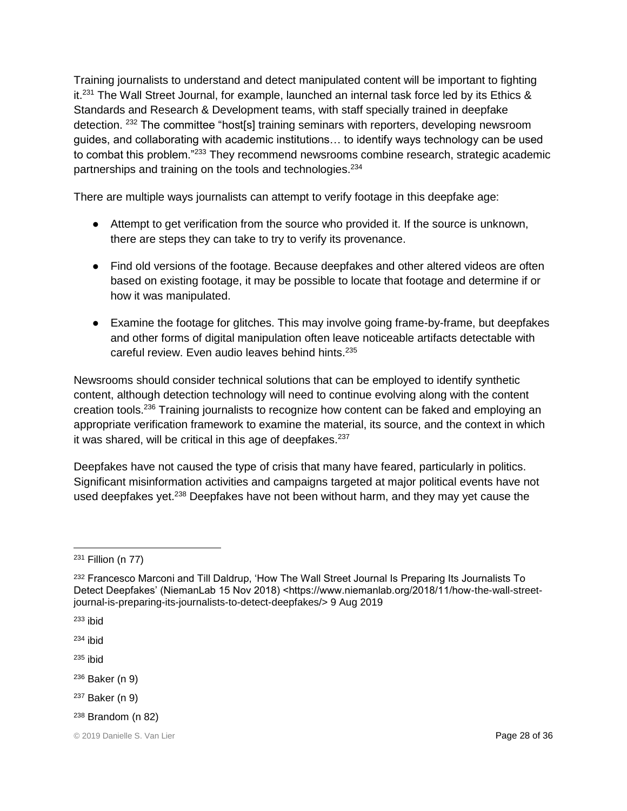Training journalists to understand and detect manipulated content will be important to fighting it.<sup>231</sup> The Wall Street Journal, for example, launched an internal task force led by its Ethics & Standards and Research & Development teams, with staff specially trained in deepfake detection. <sup>232</sup> The committee "host[s] training seminars with reporters, developing newsroom guides, and collaborating with academic institutions… to identify ways technology can be used to combat this problem."<sup>233</sup> They recommend newsrooms combine research, strategic academic partnerships and training on the tools and technologies.<sup>234</sup>

There are multiple ways journalists can attempt to verify footage in this deepfake age:

- Attempt to get verification from the source who provided it. If the source is unknown, there are steps they can take to try to verify its provenance.
- Find old versions of the footage. Because deepfakes and other altered videos are often based on existing footage, it may be possible to locate that footage and determine if or how it was manipulated.
- Examine the footage for glitches. This may involve going frame-by-frame, but deepfakes and other forms of digital manipulation often leave noticeable artifacts detectable with careful review. Even audio leaves behind hints.<sup>235</sup>

Newsrooms should consider technical solutions that can be employed to identify synthetic content, although detection technology will need to continue evolving along with the content creation tools.<sup>236</sup> Training journalists to recognize how content can be faked and employing an appropriate verification framework to examine the material, its source, and the context in which it was shared, will be critical in this age of deepfakes. $237$ 

Deepfakes have not caused the type of crisis that many have feared, particularly in politics. Significant misinformation activities and campaigns targeted at major political events have not used deepfakes yet.<sup>238</sup> Deepfakes have not been without harm, and they may yet cause the

- <sup>236</sup> Baker (n 9)
- <sup>237</sup> Baker (n 9)
- $238$  Brandom (n 82)

 $\overline{a}$ <sup>231</sup> Fillion (n 77)

<sup>&</sup>lt;sup>232</sup> Francesco Marconi and Till Daldrup, 'How The Wall Street Journal Is Preparing Its Journalists To Detect Deepfakes' (NiemanLab 15 Nov 2018) <https://www.niemanlab.org/2018/11/how-the-wall-streetjournal-is-preparing-its-journalists-to-detect-deepfakes/> 9 Aug 2019

<sup>233</sup> ibid

 $234$  ibid

 $235$  ibid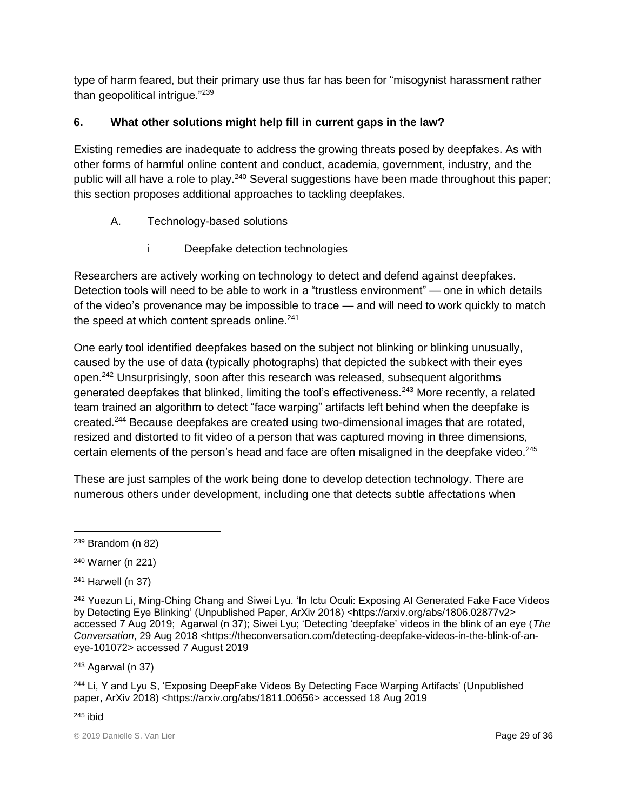type of harm feared, but their primary use thus far has been for "misogynist harassment rather than geopolitical intrigue."<sup>239</sup>

## **6. What other solutions might help fill in current gaps in the law?**

Existing remedies are inadequate to address the growing threats posed by deepfakes. As with other forms of harmful online content and conduct, academia, government, industry, and the public will all have a role to play.<sup>240</sup> Several suggestions have been made throughout this paper; this section proposes additional approaches to tackling deepfakes.

- A. Technology-based solutions
	- i Deepfake detection technologies

Researchers are actively working on technology to detect and defend against deepfakes. Detection tools will need to be able to work in a "trustless environment" — one in which details of the video's provenance may be impossible to trace — and will need to work quickly to match the speed at which content spreads online.<sup>241</sup>

One early tool identified deepfakes based on the subject not blinking or blinking unusually, caused by the use of data (typically photographs) that depicted the subkect with their eyes open.<sup>242</sup> Unsurprisingly, soon after this research was released, subsequent algorithms generated deepfakes that blinked, limiting the tool's effectiveness.<sup>243</sup> More recently, a related team trained an algorithm to detect "face warping" artifacts left behind when the deepfake is created.<sup>244</sup> Because deepfakes are created using two-dimensional images that are rotated, resized and distorted to fit video of a person that was captured moving in three dimensions, certain elements of the person's head and face are often misaligned in the deepfake video.<sup>245</sup>

These are just samples of the work being done to develop detection technology. There are numerous others under development, including one that detects subtle affectations when

<sup>243</sup> Agarwal (n 37)

<sup>244</sup> Li, Y and Lyu S, 'Exposing DeepFake Videos By Detecting Face Warping Artifacts' (Unpublished paper, ArXiv 2018) [<https://arxiv.org/abs/1811.00656>](https://arxiv.org/abs/1811.00656) accessed 18 Aug 2019

 $\overline{a}$  $239$  Brandom (n 82)

<sup>240</sup> Warner (n 221)

<sup>241</sup> Harwell (n 37)

<sup>&</sup>lt;sup>242</sup> Yuezun Li, Ming-Ching Chang and Siwei Lyu. 'In Ictu Oculi: Exposing AI Generated Fake Face Videos by Detecting Eye Blinking' (Unpublished Paper, ArXiv 2018) <https://arxiv.org/abs/1806.02877v2> accessed 7 Aug 2019; Agarwal (n 37); Siwei Lyu; 'Detecting 'deepfake' videos in the blink of an eye (*The*  Conversation, 29 Aug 2018 <https://theconversation.com/detecting-deepfake-videos-in-the-blink-of-aneye-101072> accessed 7 August 2019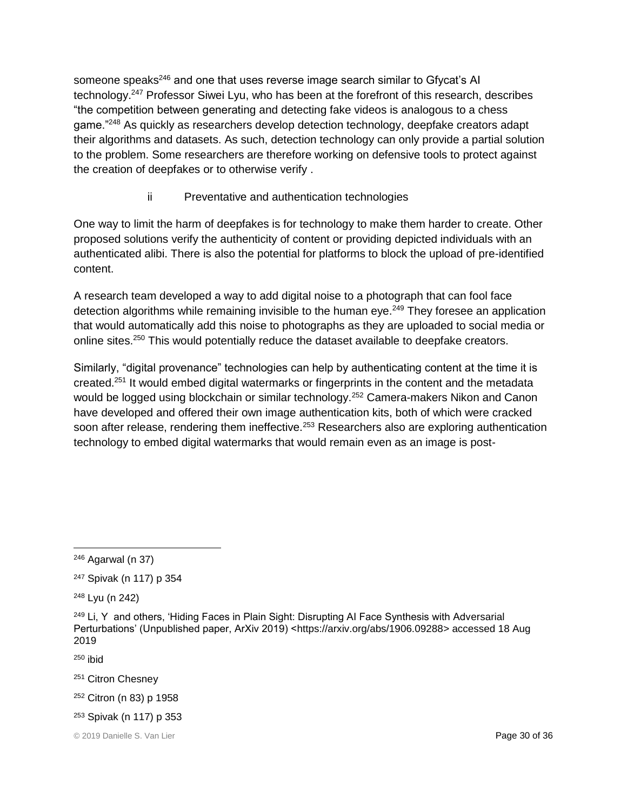someone speaks<sup>246</sup> and one that uses reverse image search similar to Gfycat's AI technology.<sup>247</sup> Professor Siwei Lyu, who has been at the forefront of this research, describes "the competition between generating and detecting fake videos is analogous to a chess game."<sup>248</sup> As quickly as researchers develop detection technology, deepfake creators adapt their algorithms and datasets. As such, detection technology can only provide a partial solution to the problem. Some researchers are therefore working on defensive tools to protect against the creation of deepfakes or to otherwise verify .

ii Preventative and authentication technologies

One way to limit the harm of deepfakes is for technology to make them harder to create. Other proposed solutions verify the authenticity of content or providing depicted individuals with an authenticated alibi. There is also the potential for platforms to block the upload of pre-identified content.

A research team developed a way to add digital noise to a photograph that can fool face detection algorithms while remaining invisible to the human eve.<sup>249</sup> They foresee an application that would automatically add this noise to photographs as they are uploaded to social media or online sites.<sup>250</sup> This would potentially reduce the dataset available to deepfake creators.

Similarly, "digital provenance" technologies can help by authenticating content at the time it is created.<sup>251</sup> It would embed digital watermarks or fingerprints in the content and the metadata would be logged using blockchain or similar technology.<sup>252</sup> Camera-makers Nikon and Canon have developed and offered their own image authentication kits, both of which were cracked soon after release, rendering them ineffective.<sup>253</sup> Researchers also are exploring authentication technology to embed digital watermarks that would remain even as an image is post-

- <sup>251</sup> Citron Chesney
- <sup>252</sup> Citron (n 83) p 1958
- <sup>253</sup> Spivak (n 117) p 353

 $\overline{a}$ <sup>246</sup> Agarwal (n 37)

<sup>247</sup> Spivak (n 117) p 354

<sup>248</sup> Lyu (n 242)

 $249$  Li, Y and others, 'Hiding Faces in Plain Sight: Disrupting AI Face Synthesis with Adversarial Perturbations' (Unpublished paper, ArXiv 2019) [<https://arxiv.org/abs/1906.09288>](https://arxiv.org/abs/1906.09288) accessed 18 Aug 2019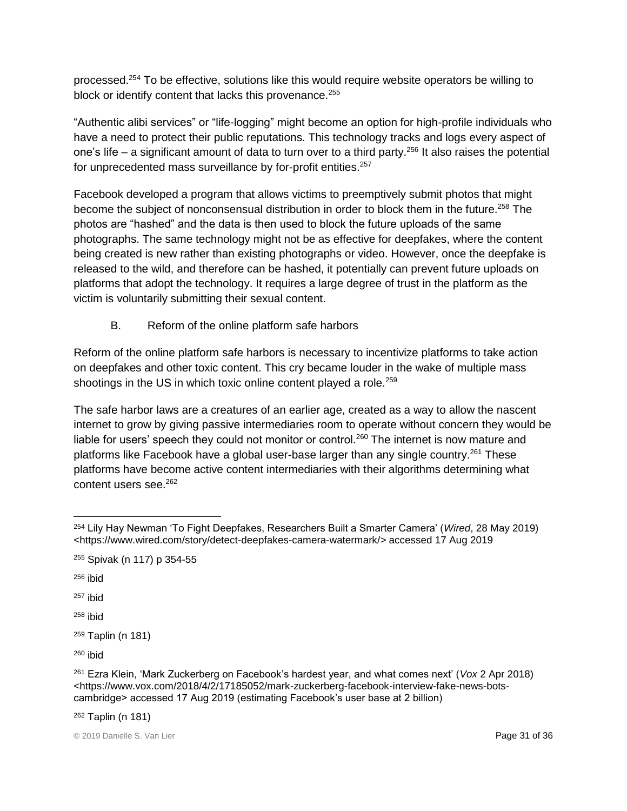processed.<sup>254</sup> To be effective, solutions like this would require website operators be willing to block or identify content that lacks this provenance.<sup>255</sup>

"Authentic alibi services" or "life-logging" might become an option for high-profile individuals who have a need to protect their public reputations. This technology tracks and logs every aspect of one's life – a significant amount of data to turn over to a third party.<sup>256</sup> It also raises the potential for unprecedented mass surveillance by for-profit entities.<sup>257</sup>

Facebook developed a program that allows victims to preemptively submit photos that might become the subject of nonconsensual distribution in order to block them in the future.<sup>258</sup> The photos are "hashed" and the data is then used to block the future uploads of the same photographs. The same technology might not be as effective for deepfakes, where the content being created is new rather than existing photographs or video. However, once the deepfake is released to the wild, and therefore can be hashed, it potentially can prevent future uploads on platforms that adopt the technology. It requires a large degree of trust in the platform as the victim is voluntarily submitting their sexual content.

B. Reform of the online platform safe harbors

Reform of the online platform safe harbors is necessary to incentivize platforms to take action on deepfakes and other toxic content. This cry became louder in the wake of multiple mass shootings in the US in which toxic online content played a role.<sup>259</sup>

The safe harbor laws are a creatures of an earlier age, created as a way to allow the nascent internet to grow by giving passive intermediaries room to operate without concern they would be liable for users' speech they could not monitor or control.<sup>260</sup> The internet is now mature and platforms like Facebook have a global user-base larger than any single country.<sup>261</sup> These platforms have become active content intermediaries with their algorithms determining what content users see.<sup>262</sup>

 $256$  ibid

 $\overline{a}$ 

 $257$  ibid

 $258$  ibid

<sup>260</sup> ibid

<sup>262</sup> Taplin (n 181)

<sup>254</sup> Lily Hay Newman 'To Fight Deepfakes, Researchers Built a Smarter Camera' (*Wired*, 28 May 2019) [<https://www.wired.com/story/detect-deepfakes-camera-watermark/>](https://www.wired.com/story/detect-deepfakes-camera-watermark/) accessed 17 Aug 2019

<sup>255</sup> Spivak (n 117) p 354-55

<sup>259</sup> Taplin (n 181)

<sup>261</sup> Ezra Klein, 'Mark Zuckerberg on Facebook's hardest year, and what comes next' (*Vox* 2 Apr 2018) <https://www.vox.com/2018/4/2/17185052/mark-zuckerberg-facebook-interview-fake-news-botscambridge> accessed 17 Aug 2019 (estimating Facebook's user base at 2 billion)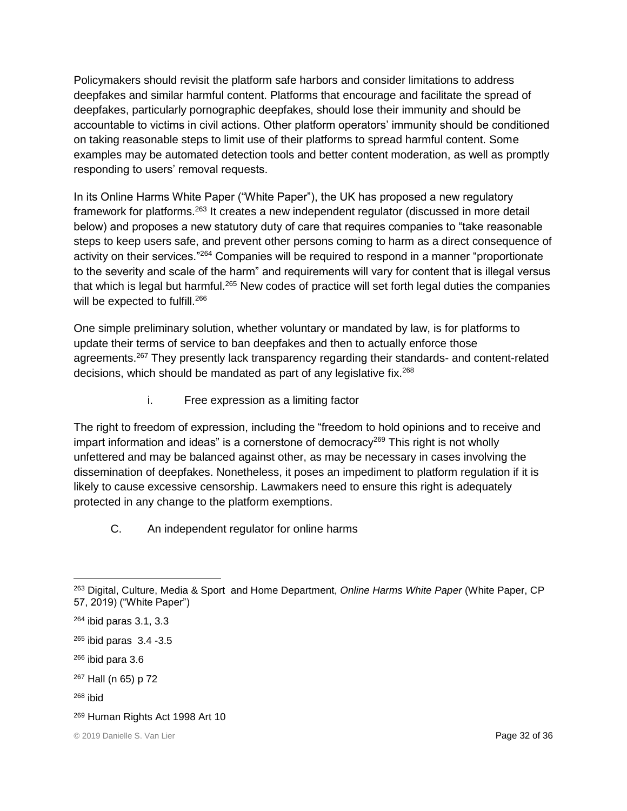Policymakers should revisit the platform safe harbors and consider limitations to address deepfakes and similar harmful content. Platforms that encourage and facilitate the spread of deepfakes, particularly pornographic deepfakes, should lose their immunity and should be accountable to victims in civil actions. Other platform operators' immunity should be conditioned on taking reasonable steps to limit use of their platforms to spread harmful content. Some examples may be automated detection tools and better content moderation, as well as promptly responding to users' removal requests.

In its Online Harms White Paper ("White Paper"), the UK has proposed a new regulatory framework for platforms.<sup>263</sup> It creates a new independent regulator (discussed in more detail below) and proposes a new statutory duty of care that requires companies to "take reasonable steps to keep users safe, and prevent other persons coming to harm as a direct consequence of activity on their services."<sup>264</sup> Companies will be required to respond in a manner "proportionate to the severity and scale of the harm" and requirements will vary for content that is illegal versus that which is legal but harmful.<sup>265</sup> New codes of practice will set forth legal duties the companies will be expected to fulfill.<sup>266</sup>

One simple preliminary solution, whether voluntary or mandated by law, is for platforms to update their terms of service to ban deepfakes and then to actually enforce those agreements.<sup>267</sup> They presently lack transparency regarding their standards- and content-related decisions, which should be mandated as part of any legislative fix.<sup>268</sup>

i. Free expression as a limiting factor

The right to freedom of expression, including the "freedom to hold opinions and to receive and impart information and ideas" is a cornerstone of democracy<sup>269</sup> This right is not wholly unfettered and may be balanced against other, as may be necessary in cases involving the dissemination of deepfakes. Nonetheless, it poses an impediment to platform regulation if it is likely to cause excessive censorship. Lawmakers need to ensure this right is adequately protected in any change to the platform exemptions.

C. An independent regulator for online harms

 $\overline{a}$ <sup>263</sup> Digital, Culture, Media & Sport and Home Department, *Online Harms White Paper* (White Paper, CP 57, 2019) ("White Paper")

<sup>264</sup> ibid paras 3.1, 3.3

<sup>265</sup> ibid paras 3.4 -3.5

<sup>266</sup> ibid para 3.6

<sup>267</sup> Hall (n 65) p 72

<sup>269</sup> Human Rights Act 1998 Art 10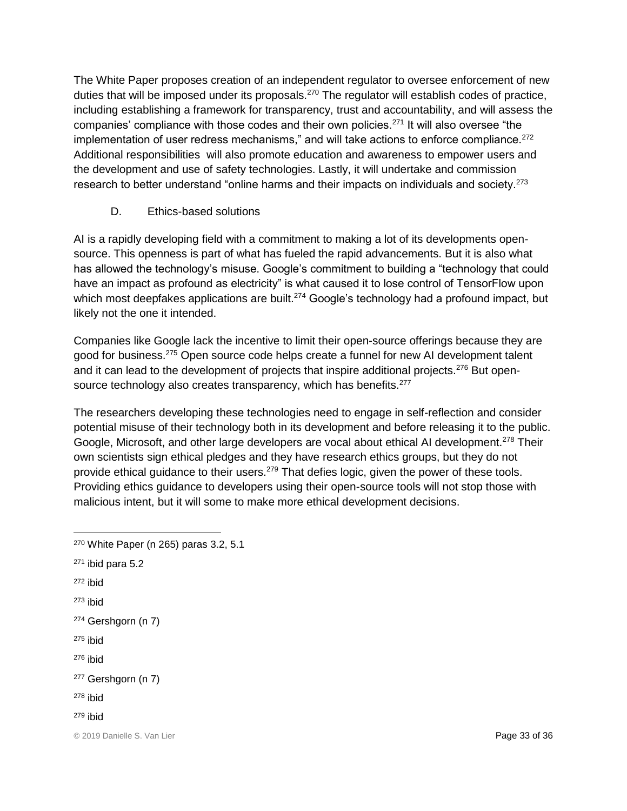The White Paper proposes creation of an independent regulator to oversee enforcement of new duties that will be imposed under its proposals.<sup>270</sup> The regulator will establish codes of practice, including establishing a framework for transparency, trust and accountability, and will assess the companies' compliance with those codes and their own policies.<sup>271</sup> It will also oversee "the implementation of user redress mechanisms," and will take actions to enforce compliance.<sup>272</sup> Additional responsibilities will also promote education and awareness to empower users and the development and use of safety technologies. Lastly, it will undertake and commission research to better understand "online harms and their impacts on individuals and society.<sup>273</sup>

D. Ethics-based solutions

AI is a rapidly developing field with a commitment to making a lot of its developments opensource. This openness is part of what has fueled the rapid advancements. But it is also what has allowed the technology's misuse. Google's commitment to building a "technology that could have an impact as profound as electricity" is what caused it to lose control of TensorFlow upon which most deepfakes applications are built.<sup>274</sup> Google's technology had a profound impact, but likely not the one it intended.

Companies like Google lack the incentive to limit their open-source offerings because they are good for business.<sup>275</sup> Open source code helps create a funnel for new AI development talent and it can lead to the development of projects that inspire additional projects.<sup>276</sup> But opensource technology also creates transparency, which has benefits.<sup>277</sup>

The researchers developing these technologies need to engage in self-reflection and consider potential misuse of their technology both in its development and before releasing it to the public. Google, Microsoft, and other large developers are vocal about ethical AI development.<sup>278</sup> Their own scientists sign ethical pledges and they have research ethics groups, but they do not provide ethical guidance to their users.<sup>279</sup> That defies logic, given the power of these tools. Providing ethics guidance to developers using their open-source tools will not stop those with malicious intent, but it will some to make more ethical development decisions.

- <sup>270</sup> White Paper (n 265) paras 3.2, 5.1 <sup>271</sup> ibid para 5.2
- <sup>272</sup> ibid

 $\overline{a}$ 

- $273$  ibid
- <sup>274</sup> Gershgorn (n 7)
- $275$  ibid
- <sup>276</sup> ibid
- <sup>277</sup> Gershgorn (n 7)
- $278$  ibid
- $279$  ibid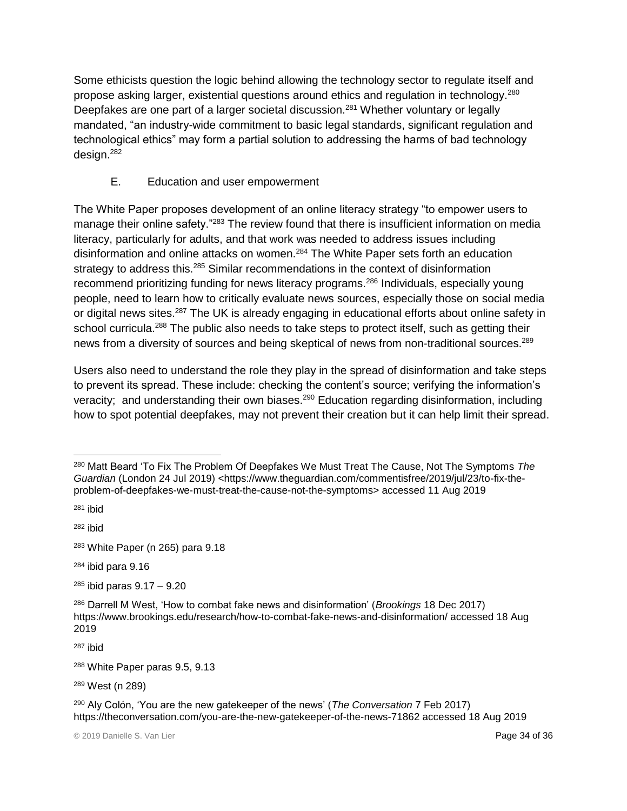Some ethicists question the logic behind allowing the technology sector to regulate itself and propose asking larger, existential questions around ethics and regulation in technology.<sup>280</sup> Deepfakes are one part of a larger societal discussion.<sup>281</sup> Whether voluntary or legally mandated, "an industry-wide commitment to basic legal standards, significant regulation and technological ethics" may form a partial solution to addressing the harms of bad technology design.<sup>282</sup>

#### E. Education and user empowerment

The White Paper proposes development of an online literacy strategy "to empower users to manage their online safety."<sup>283</sup> The review found that there is insufficient information on media literacy, particularly for adults, and that work was needed to address issues including disinformation and online attacks on women.<sup>284</sup> The White Paper sets forth an education strategy to address this.<sup>285</sup> Similar recommendations in the context of disinformation recommend prioritizing funding for news literacy programs.<sup>286</sup> Individuals, especially young people, need to learn how to critically evaluate news sources, especially those on social media or digital news sites.<sup>287</sup> The UK is already engaging in educational efforts about online safety in school curricula.<sup>288</sup> The public also needs to take steps to protect itself, such as getting their news from a diversity of sources and being skeptical of news from non-traditional sources.<sup>289</sup>

Users also need to understand the role they play in the spread of disinformation and take steps to prevent its spread. These include: checking the content's source; verifying the information's veracity; and understanding their own biases.<sup>290</sup> Education regarding disinformation, including how to spot potential deepfakes, may not prevent their creation but it can help limit their spread.

 $\overline{a}$ 

<sup>280</sup> Matt Beard 'To Fix The Problem Of Deepfakes We Must Treat The Cause, Not The Symptoms *The Guardian* (London 24 Jul 2019) <https://www.theguardian.com/commentisfree/2019/jul/23/to-fix-theproblem-of-deepfakes-we-must-treat-the-cause-not-the-symptoms> accessed 11 Aug 2019

<sup>281</sup> ibid

<sup>283</sup> White Paper (n 265) para 9.18

 $284$  ibid para  $9.16$ 

<sup>285</sup> ibid paras 9.17 – 9.20

<sup>286</sup> Darrell M West, 'How to combat fake news and disinformation' (*Brookings* 18 Dec 2017) <https://www.brookings.edu/research/how-to-combat-fake-news-and-disinformation/> accessed 18 Aug 2019

<sup>287</sup> ibid

<sup>288</sup> White Paper paras 9.5, 9.13

<sup>289</sup> West (n 289)

<sup>290</sup> Aly Colón, 'You are the new gatekeeper of the news' (*The Conversation* 7 Feb 2017) <https://theconversation.com/you-are-the-new-gatekeeper-of-the-news-71862> accessed 18 Aug 2019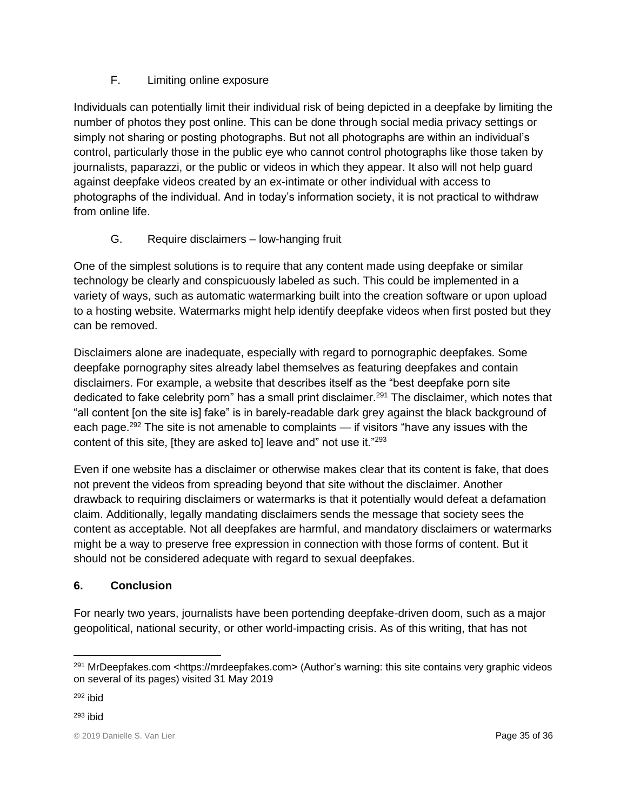## F. Limiting online exposure

Individuals can potentially limit their individual risk of being depicted in a deepfake by limiting the number of photos they post online. This can be done through social media privacy settings or simply not sharing or posting photographs. But not all photographs are within an individual's control, particularly those in the public eye who cannot control photographs like those taken by journalists, paparazzi, or the public or videos in which they appear. It also will not help guard against deepfake videos created by an ex-intimate or other individual with access to photographs of the individual. And in today's information society, it is not practical to withdraw from online life.

## G. Require disclaimers – low-hanging fruit

One of the simplest solutions is to require that any content made using deepfake or similar technology be clearly and conspicuously labeled as such. This could be implemented in a variety of ways, such as automatic watermarking built into the creation software or upon upload to a hosting website. Watermarks might help identify deepfake videos when first posted but they can be removed.

Disclaimers alone are inadequate, especially with regard to pornographic deepfakes. Some deepfake pornography sites already label themselves as featuring deepfakes and contain disclaimers. For example, a website that describes itself as the "best deepfake porn site dedicated to fake celebrity porn" has a small print disclaimer.<sup>291</sup> The disclaimer, which notes that "all content [on the site is] fake" is in barely-readable dark grey against the black background of each page.<sup>292</sup> The site is not amenable to complaints — if visitors "have any issues with the content of this site, [they are asked to] leave and" not use it."<sup>293</sup>

Even if one website has a disclaimer or otherwise makes clear that its content is fake, that does not prevent the videos from spreading beyond that site without the disclaimer. Another drawback to requiring disclaimers or watermarks is that it potentially would defeat a defamation claim. Additionally, legally mandating disclaimers sends the message that society sees the content as acceptable. Not all deepfakes are harmful, and mandatory disclaimers or watermarks might be a way to preserve free expression in connection with those forms of content. But it should not be considered adequate with regard to sexual deepfakes.

## **6. Conclusion**

For nearly two years, journalists have been portending deepfake-driven doom, such as a major geopolitical, national security, or other world-impacting crisis. As of this writing, that has not

 $\overline{a}$ 

<sup>291</sup> MrDeepfakes.com [<https://mrdeepfakes.com>](https://mrdeepfakes.com/) (Author's warning: this site contains very graphic videos on several of its pages) visited 31 May 2019

 $292$  ibid

<sup>293</sup> ibid